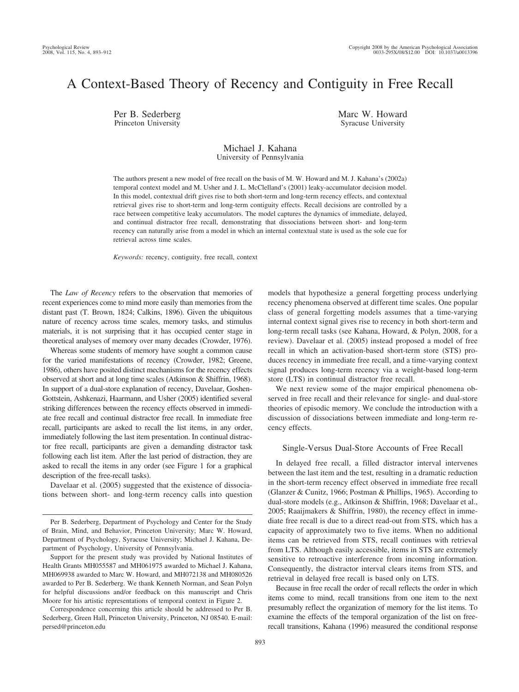# A Context-Based Theory of Recency and Contiguity in Free Recall

Per B. Sederberg Princeton University

Marc W. Howard Syracuse University

#### Michael J. Kahana University of Pennsylvania

The authors present a new model of free recall on the basis of M. W. Howard and M. J. Kahana's (2002a) temporal context model and M. Usher and J. L. McClelland's (2001) leaky-accumulator decision model. In this model, contextual drift gives rise to both short-term and long-term recency effects, and contextual retrieval gives rise to short-term and long-term contiguity effects. Recall decisions are controlled by a race between competitive leaky accumulators. The model captures the dynamics of immediate, delayed, and continual distractor free recall, demonstrating that dissociations between short- and long-term recency can naturally arise from a model in which an internal contextual state is used as the sole cue for retrieval across time scales.

*Keywords:* recency, contiguity, free recall, context

The *Law of Recency* refers to the observation that memories of recent experiences come to mind more easily than memories from the distant past (T. Brown, 1824; Calkins, 1896). Given the ubiquitous nature of recency across time scales, memory tasks, and stimulus materials, it is not surprising that it has occupied center stage in theoretical analyses of memory over many decades (Crowder, 1976).

Whereas some students of memory have sought a common cause for the varied manifestations of recency (Crowder, 1982; Greene, 1986), others have posited distinct mechanisms for the recency effects observed at short and at long time scales (Atkinson & Shiffrin, 1968). In support of a dual-store explanation of recency, Davelaar, Goshen-Gottstein, Ashkenazi, Haarmann, and Usher (2005) identified several striking differences between the recency effects observed in immediate free recall and continual distractor free recall. In immediate free recall, participants are asked to recall the list items, in any order, immediately following the last item presentation. In continual distractor free recall, participants are given a demanding distractor task following each list item. After the last period of distraction, they are asked to recall the items in any order (see Figure 1 for a graphical description of the free-recall tasks).

Davelaar et al. (2005) suggested that the existence of dissociations between short- and long-term recency calls into question

Correspondence concerning this article should be addressed to Per B. Sederberg, Green Hall, Princeton University, Princeton, NJ 08540. E-mail: persed@princeton.edu

models that hypothesize a general forgetting process underlying recency phenomena observed at different time scales. One popular class of general forgetting models assumes that a time-varying internal context signal gives rise to recency in both short-term and long-term recall tasks (see Kahana, Howard, & Polyn, 2008, for a review). Davelaar et al. (2005) instead proposed a model of free recall in which an activation-based short-term store (STS) produces recency in immediate free recall, and a time-varying context signal produces long-term recency via a weight-based long-term store (LTS) in continual distractor free recall.

We next review some of the major empirical phenomena observed in free recall and their relevance for single- and dual-store theories of episodic memory. We conclude the introduction with a discussion of dissociations between immediate and long-term recency effects.

## Single-Versus Dual-Store Accounts of Free Recall

In delayed free recall, a filled distractor interval intervenes between the last item and the test, resulting in a dramatic reduction in the short-term recency effect observed in immediate free recall (Glanzer & Cunitz, 1966; Postman & Phillips, 1965). According to dual-store models (e.g., Atkinson & Shiffrin, 1968; Davelaar et al., 2005; Raaijmakers & Shiffrin, 1980), the recency effect in immediate free recall is due to a direct read-out from STS, which has a capacity of approximately two to five items. When no additional items can be retrieved from STS, recall continues with retrieval from LTS. Although easily accessible, items in STS are extremely sensitive to retroactive interference from incoming information. Consequently, the distractor interval clears items from STS, and retrieval in delayed free recall is based only on LTS.

Because in free recall the order of recall reflects the order in which items come to mind, recall transitions from one item to the next presumably reflect the organization of memory for the list items. To examine the effects of the temporal organization of the list on freerecall transitions, Kahana (1996) measured the conditional response

Per B. Sederberg, Department of Psychology and Center for the Study of Brain, Mind, and Behavior, Princeton University; Marc W. Howard, Department of Psychology, Syracuse University; Michael J. Kahana, Department of Psychology, University of Pennsylvania.

Support for the present study was provided by National Institutes of Health Grants MH055587 and MH061975 awarded to Michael J. Kahana, MH069938 awarded to Marc W. Howard, and MH072138 and MH080526 awarded to Per B. Sederberg. We thank Kenneth Norman, and Sean Polyn for helpful discussions and/or feedback on this manuscript and Chris Moore for his artistic representations of temporal context in Figure 2.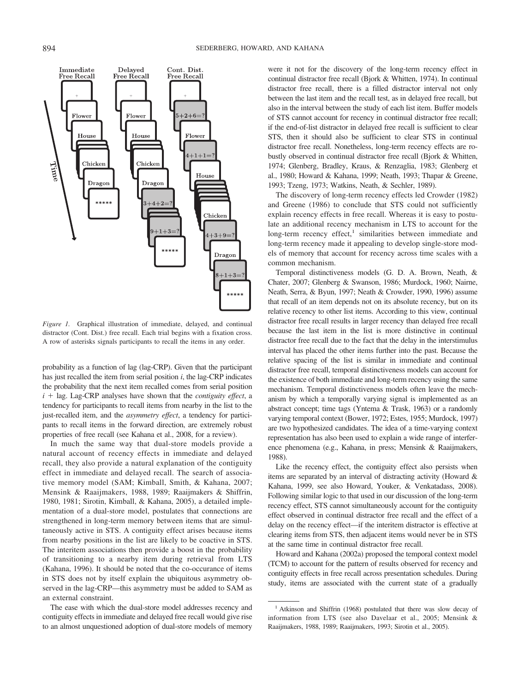

*Figure 1.* Graphical illustration of immediate, delayed, and continual distractor (Cont. Dist.) free recall. Each trial begins with a fixation cross. A row of asterisks signals participants to recall the items in any order.

probability as a function of lag (lag-CRP). Given that the participant has just recalled the item from serial position *i*, the lag-CRP indicates the probability that the next item recalled comes from serial position  $i +$ lag. Lag-CRP analyses have shown that the *contiguity effect*, a tendency for participants to recall items from nearby in the list to the just-recalled item, and the *asymmetry effect*, a tendency for participants to recall items in the forward direction, are extremely robust properties of free recall (see Kahana et al., 2008, for a review).

In much the same way that dual-store models provide a natural account of recency effects in immediate and delayed recall, they also provide a natural explanation of the contiguity effect in immediate and delayed recall. The search of associative memory model (SAM; Kimball, Smith, & Kahana, 2007; Mensink & Raaijmakers, 1988, 1989; Raaijmakers & Shiffrin, 1980, 1981; Sirotin, Kimball, & Kahana, 2005), a detailed implementation of a dual-store model, postulates that connections are strengthened in long-term memory between items that are simultaneously active in STS. A contiguity effect arises because items from nearby positions in the list are likely to be coactive in STS. The interitem associations then provide a boost in the probability of transitioning to a nearby item during retrieval from LTS (Kahana, 1996). It should be noted that the co-occurance of items in STS does not by itself explain the ubiquitous asymmetry observed in the lag-CRP—this asymmetry must be added to SAM as an external constraint.

The ease with which the dual-store model addresses recency and contiguity effects in immediate and delayed free recall would give rise to an almost unquestioned adoption of dual-store models of memory were it not for the discovery of the long-term recency effect in continual distractor free recall (Bjork & Whitten, 1974). In continual distractor free recall, there is a filled distractor interval not only between the last item and the recall test, as in delayed free recall, but also in the interval between the study of each list item. Buffer models of STS cannot account for recency in continual distractor free recall; if the end-of-list distractor in delayed free recall is sufficient to clear STS, then it should also be sufficient to clear STS in continual distractor free recall. Nonetheless, long-term recency effects are robustly observed in continual distractor free recall (Bjork & Whitten, 1974; Glenberg, Bradley, Kraus, & Renzaglia, 1983; Glenberg et al., 1980; Howard & Kahana, 1999; Neath, 1993; Thapar & Greene, 1993; Tzeng, 1973; Watkins, Neath, & Sechler, 1989).

The discovery of long-term recency effects led Crowder (1982) and Greene (1986) to conclude that STS could not sufficiently explain recency effects in free recall. Whereas it is easy to postulate an additional recency mechanism in LTS to account for the  $long-term$  recency effect, $1$  similarities between immediate and long-term recency made it appealing to develop single-store models of memory that account for recency across time scales with a common mechanism.

Temporal distinctiveness models (G. D. A. Brown, Neath, & Chater, 2007; Glenberg & Swanson, 1986; Murdock, 1960; Nairne, Neath, Serra, & Byun, 1997; Neath & Crowder, 1990, 1996) assume that recall of an item depends not on its absolute recency, but on its relative recency to other list items. According to this view, continual distractor free recall results in larger recency than delayed free recall because the last item in the list is more distinctive in continual distractor free recall due to the fact that the delay in the interstimulus interval has placed the other items further into the past. Because the relative spacing of the list is similar in immediate and continual distractor free recall, temporal distinctiveness models can account for the existence of both immediate and long-term recency using the same mechanism. Temporal distinctiveness models often leave the mechanism by which a temporally varying signal is implemented as an abstract concept; time tags (Yntema & Trask, 1963) or a randomly varying temporal context (Bower, 1972; Estes, 1955; Murdock, 1997) are two hypothesized candidates. The idea of a time-varying context representation has also been used to explain a wide range of interference phenomena (e.g., Kahana, in press; Mensink & Raaijmakers, 1988).

Like the recency effect, the contiguity effect also persists when items are separated by an interval of distracting activity (Howard & Kahana, 1999, see also Howard, Youker, & Venkatadass, 2008). Following similar logic to that used in our discussion of the long-term recency effect, STS cannot simultaneously account for the contiguity effect observed in continual distractor free recall and the effect of a delay on the recency effect—if the interitem distractor is effective at clearing items from STS, then adjacent items would never be in STS at the same time in continual distractor free recall.

Howard and Kahana (2002a) proposed the temporal context model (TCM) to account for the pattern of results observed for recency and contiguity effects in free recall across presentation schedules. During study, items are associated with the current state of a gradually

<sup>&</sup>lt;sup>1</sup> Atkinson and Shiffrin (1968) postulated that there was slow decay of information from LTS (see also Davelaar et al., 2005; Mensink & Raaijmakers, 1988, 1989; Raaijmakers, 1993; Sirotin et al., 2005).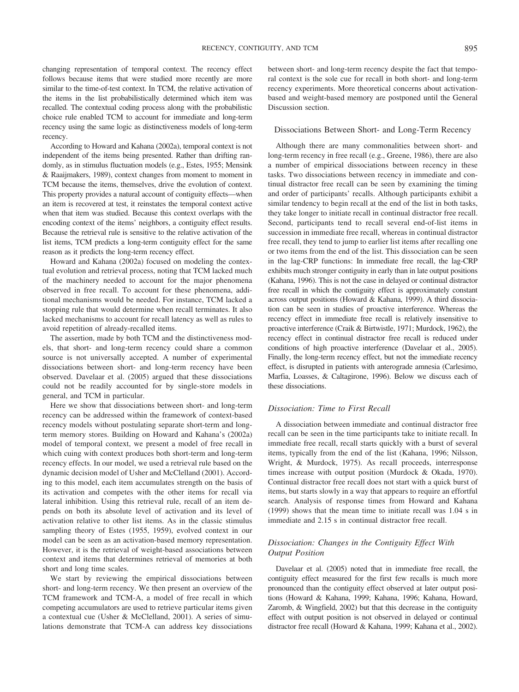changing representation of temporal context. The recency effect follows because items that were studied more recently are more similar to the time-of-test context. In TCM, the relative activation of the items in the list probabilistically determined which item was recalled. The contextual coding process along with the probabilistic choice rule enabled TCM to account for immediate and long-term recency using the same logic as distinctiveness models of long-term recency.

According to Howard and Kahana (2002a), temporal context is not independent of the items being presented. Rather than drifting randomly, as in stimulus fluctuation models (e.g., Estes, 1955; Mensink & Raaijmakers, 1989), context changes from moment to moment in TCM because the items, themselves, drive the evolution of context. This property provides a natural account of contiguity effects—when an item is recovered at test, it reinstates the temporal context active when that item was studied. Because this context overlaps with the encoding context of the items' neighbors, a contiguity effect results. Because the retrieval rule is sensitive to the relative activation of the list items, TCM predicts a long-term contiguity effect for the same reason as it predicts the long-term recency effect.

Howard and Kahana (2002a) focused on modeling the contextual evolution and retrieval process, noting that TCM lacked much of the machinery needed to account for the major phenomena observed in free recall. To account for these phenomena, additional mechanisms would be needed. For instance, TCM lacked a stopping rule that would determine when recall terminates. It also lacked mechanisms to account for recall latency as well as rules to avoid repetition of already-recalled items.

The assertion, made by both TCM and the distinctiveness models, that short- and long-term recency could share a common source is not universally accepted. A number of experimental dissociations between short- and long-term recency have been observed. Davelaar et al. (2005) argued that these dissociations could not be readily accounted for by single-store models in general, and TCM in particular.

Here we show that dissociations between short- and long-term recency can be addressed within the framework of context-based recency models without postulating separate short-term and longterm memory stores. Building on Howard and Kahana's (2002a) model of temporal context, we present a model of free recall in which cuing with context produces both short-term and long-term recency effects. In our model, we used a retrieval rule based on the dynamic decision model of Usher and McClelland (2001). According to this model, each item accumulates strength on the basis of its activation and competes with the other items for recall via lateral inhibition. Using this retrieval rule, recall of an item depends on both its absolute level of activation and its level of activation relative to other list items. As in the classic stimulus sampling theory of Estes (1955, 1959), evolved context in our model can be seen as an activation-based memory representation. However, it is the retrieval of weight-based associations between context and items that determines retrieval of memories at both short and long time scales.

We start by reviewing the empirical dissociations between short- and long-term recency. We then present an overview of the TCM framework and TCM-A, a model of free recall in which competing accumulators are used to retrieve particular items given a contextual cue (Usher & McClelland, 2001). A series of simulations demonstrate that TCM-A can address key dissociations between short- and long-term recency despite the fact that temporal context is the sole cue for recall in both short- and long-term recency experiments. More theoretical concerns about activationbased and weight-based memory are postponed until the General Discussion section.

#### Dissociations Between Short- and Long-Term Recency

Although there are many commonalities between short- and long-term recency in free recall (e.g., Greene, 1986), there are also a number of empirical dissociations between recency in these tasks. Two dissociations between recency in immediate and continual distractor free recall can be seen by examining the timing and order of participants' recalls. Although participants exhibit a similar tendency to begin recall at the end of the list in both tasks, they take longer to initiate recall in continual distractor free recall. Second, participants tend to recall several end-of-list items in succession in immediate free recall, whereas in continual distractor free recall, they tend to jump to earlier list items after recalling one or two items from the end of the list. This dissociation can be seen in the lag-CRP functions: In immediate free recall, the lag-CRP exhibits much stronger contiguity in early than in late output positions (Kahana, 1996). This is not the case in delayed or continual distractor free recall in which the contiguity effect is approximately constant across output positions (Howard & Kahana, 1999). A third dissociation can be seen in studies of proactive interference. Whereas the recency effect in immediate free recall is relatively insensitive to proactive interference (Craik & Birtwistle, 1971; Murdock, 1962), the recency effect in continual distractor free recall is reduced under conditions of high proactive interference (Davelaar et al., 2005). Finally, the long-term recency effect, but not the immediate recency effect, is disrupted in patients with anterograde amnesia (Carlesimo, Marfia, Loasses, & Caltagirone, 1996). Below we discuss each of these dissociations.

## *Dissociation: Time to First Recall*

A dissociation between immediate and continual distractor free recall can be seen in the time participants take to initiate recall. In immediate free recall, recall starts quickly with a burst of several items, typically from the end of the list (Kahana, 1996; Nilsson, Wright, & Murdock, 1975). As recall proceeds, interresponse times increase with output position (Murdock & Okada, 1970). Continual distractor free recall does not start with a quick burst of items, but starts slowly in a way that appears to require an effortful search. Analysis of response times from Howard and Kahana (1999) shows that the mean time to initiate recall was 1.04 s in immediate and 2.15 s in continual distractor free recall.

## *Dissociation: Changes in the Contiguity Effect With Output Position*

Davelaar et al. (2005) noted that in immediate free recall, the contiguity effect measured for the first few recalls is much more pronounced than the contiguity effect observed at later output positions (Howard & Kahana, 1999; Kahana, 1996; Kahana, Howard, Zaromb, & Wingfield, 2002) but that this decrease in the contiguity effect with output position is not observed in delayed or continual distractor free recall (Howard & Kahana, 1999; Kahana et al., 2002).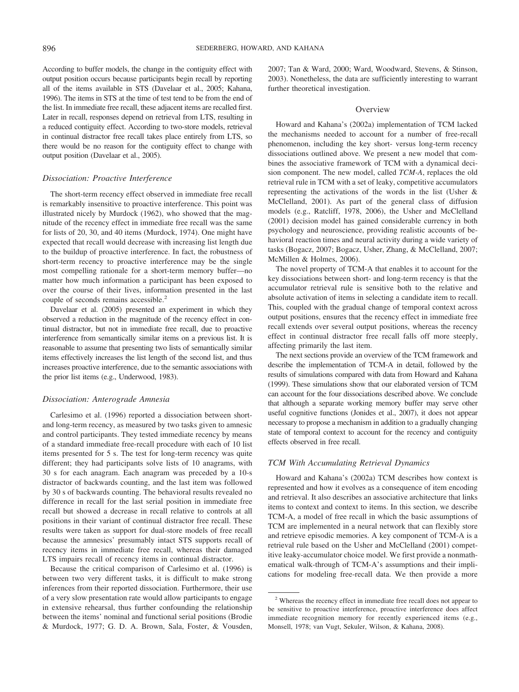According to buffer models, the change in the contiguity effect with output position occurs because participants begin recall by reporting all of the items available in STS (Davelaar et al., 2005; Kahana, 1996). The items in STS at the time of test tend to be from the end of the list. In immediate free recall, these adjacent items are recalled first. Later in recall, responses depend on retrieval from LTS, resulting in a reduced contiguity effect. According to two-store models, retrieval in continual distractor free recall takes place entirely from LTS, so there would be no reason for the contiguity effect to change with output position (Davelaar et al., 2005).

#### *Dissociation: Proactive Interference*

The short-term recency effect observed in immediate free recall is remarkably insensitive to proactive interference. This point was illustrated nicely by Murdock (1962), who showed that the magnitude of the recency effect in immediate free recall was the same for lists of 20, 30, and 40 items (Murdock, 1974). One might have expected that recall would decrease with increasing list length due to the buildup of proactive interference. In fact, the robustness of short-term recency to proactive interference may be the single most compelling rationale for a short-term memory buffer—no matter how much information a participant has been exposed to over the course of their lives, information presented in the last couple of seconds remains accessible.<sup>2</sup>

Davelaar et al. (2005) presented an experiment in which they observed a reduction in the magnitude of the recency effect in continual distractor, but not in immediate free recall, due to proactive interference from semantically similar items on a previous list. It is reasonable to assume that presenting two lists of semantically similar items effectively increases the list length of the second list, and thus increases proactive interference, due to the semantic associations with the prior list items (e.g., Underwood, 1983).

#### *Dissociation: Anterograde Amnesia*

Carlesimo et al. (1996) reported a dissociation between shortand long-term recency, as measured by two tasks given to amnesic and control participants. They tested immediate recency by means of a standard immediate free-recall procedure with each of 10 list items presented for 5 s. The test for long-term recency was quite different; they had participants solve lists of 10 anagrams, with 30 s for each anagram. Each anagram was preceded by a 10-s distractor of backwards counting, and the last item was followed by 30 s of backwards counting. The behavioral results revealed no difference in recall for the last serial position in immediate free recall but showed a decrease in recall relative to controls at all positions in their variant of continual distractor free recall. These results were taken as support for dual-store models of free recall because the amnesics' presumably intact STS supports recall of recency items in immediate free recall, whereas their damaged LTS impairs recall of recency items in continual distractor.

Because the critical comparison of Carlesimo et al. (1996) is between two very different tasks, it is difficult to make strong inferences from their reported dissociation. Furthermore, their use of a very slow presentation rate would allow participants to engage in extensive rehearsal, thus further confounding the relationship between the items' nominal and functional serial positions (Brodie & Murdock, 1977; G. D. A. Brown, Sala, Foster, & Vousden, 2007; Tan & Ward, 2000; Ward, Woodward, Stevens, & Stinson, 2003). Nonetheless, the data are sufficiently interesting to warrant further theoretical investigation.

#### **Overview**

Howard and Kahana's (2002a) implementation of TCM lacked the mechanisms needed to account for a number of free-recall phenomenon, including the key short- versus long-term recency dissociations outlined above. We present a new model that combines the associative framework of TCM with a dynamical decision component. The new model, called *TCM-A*, replaces the old retrieval rule in TCM with a set of leaky, competitive accumulators representing the activations of the words in the list (Usher & McClelland, 2001). As part of the general class of diffusion models (e.g., Ratcliff, 1978, 2006), the Usher and McClelland (2001) decision model has gained considerable currency in both psychology and neuroscience, providing realistic accounts of behavioral reaction times and neural activity during a wide variety of tasks (Bogacz, 2007; Bogacz, Usher, Zhang, & McClelland, 2007; McMillen & Holmes, 2006).

The novel property of TCM-A that enables it to account for the key dissociations between short- and long-term recency is that the accumulator retrieval rule is sensitive both to the relative and absolute activation of items in selecting a candidate item to recall. This, coupled with the gradual change of temporal context across output positions, ensures that the recency effect in immediate free recall extends over several output positions, whereas the recency effect in continual distractor free recall falls off more steeply, affecting primarily the last item.

The next sections provide an overview of the TCM framework and describe the implementation of TCM-A in detail, followed by the results of simulations compared with data from Howard and Kahana (1999). These simulations show that our elaborated version of TCM can account for the four dissociations described above. We conclude that although a separate working memory buffer may serve other useful cognitive functions (Jonides et al., 2007), it does not appear necessary to propose a mechanism in addition to a gradually changing state of temporal context to account for the recency and contiguity effects observed in free recall.

#### *TCM With Accumulating Retrieval Dynamics*

Howard and Kahana's (2002a) TCM describes how context is represented and how it evolves as a consequence of item encoding and retrieval. It also describes an associative architecture that links items to context and context to items. In this section, we describe TCM-A, a model of free recall in which the basic assumptions of TCM are implemented in a neural network that can flexibly store and retrieve episodic memories. A key component of TCM-A is a retrieval rule based on the Usher and McClelland (2001) competitive leaky-accumulator choice model. We first provide a nonmathematical walk-through of TCM-A's assumptions and their implications for modeling free-recall data. We then provide a more

<sup>2</sup> Whereas the recency effect in immediate free recall does not appear to be sensitive to proactive interference, proactive interference does affect immediate recognition memory for recently experienced items (e.g., Monsell, 1978; van Vugt, Sekuler, Wilson, & Kahana, 2008).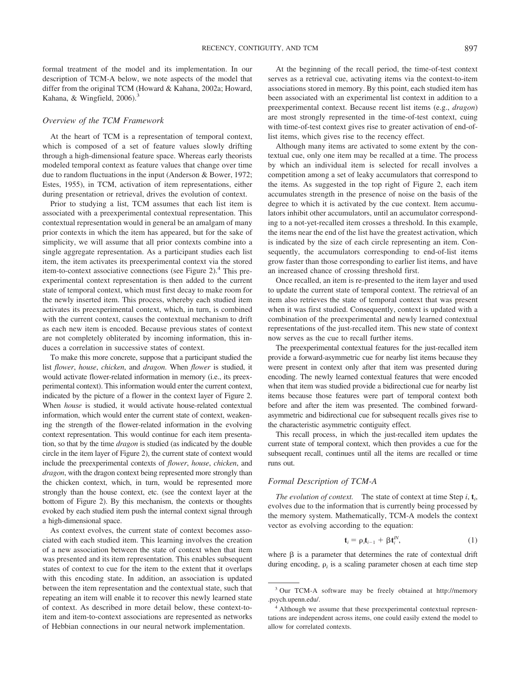formal treatment of the model and its implementation. In our description of TCM-A below, we note aspects of the model that differ from the original TCM (Howard & Kahana, 2002a; Howard, Kahana, & Wingfield, 2006).<sup>3</sup>

## *Overview of the TCM Framework*

At the heart of TCM is a representation of temporal context, which is composed of a set of feature values slowly drifting through a high-dimensional feature space. Whereas early theorists modeled temporal context as feature values that change over time due to random fluctuations in the input (Anderson & Bower, 1972; Estes, 1955), in TCM, activation of item representations, either during presentation or retrieval, drives the evolution of context.

Prior to studying a list, TCM assumes that each list item is associated with a preexperimental contextual representation. This contextual representation would in general be an amalgam of many prior contexts in which the item has appeared, but for the sake of simplicity, we will assume that all prior contexts combine into a single aggregate representation. As a participant studies each list item, the item activates its preexperimental context via the stored item-to-context associative connections (see Figure 2).<sup>4</sup> This preexperimental context representation is then added to the current state of temporal context, which must first decay to make room for the newly inserted item. This process, whereby each studied item activates its preexperimental context, which, in turn, is combined with the current context, causes the contextual mechanism to drift as each new item is encoded. Because previous states of context are not completely obliterated by incoming information, this induces a correlation in successive states of context.

To make this more concrete, suppose that a participant studied the list *flower*, *house*, *chicken*, and *dragon*. When *flower* is studied, it would activate flower-related information in memory (i.e., its preexperimental context). This information would enter the current context, indicated by the picture of a flower in the context layer of Figure 2. When *house* is studied, it would activate house-related contextual information, which would enter the current state of context, weakening the strength of the flower-related information in the evolving context representation. This would continue for each item presentation, so that by the time *dragon* is studied (as indicated by the double circle in the item layer of Figure 2), the current state of context would include the preexperimental contexts of *flower*, *house*, *chicken*, and *dragon*, with the dragon context being represented more strongly than the chicken context, which, in turn, would be represented more strongly than the house context, etc. (see the context layer at the bottom of Figure 2). By this mechanism, the contexts or thoughts evoked by each studied item push the internal context signal through a high-dimensional space.

As context evolves, the current state of context becomes associated with each studied item. This learning involves the creation of a new association between the state of context when that item was presented and its item representation. This enables subsequent states of context to cue for the item to the extent that it overlaps with this encoding state. In addition, an association is updated between the item representation and the contextual state, such that repeating an item will enable it to recover this newly learned state of context. As described in more detail below, these context-toitem and item-to-context associations are represented as networks of Hebbian connections in our neural network implementation.

At the beginning of the recall period, the time-of-test context serves as a retrieval cue, activating items via the context-to-item associations stored in memory. By this point, each studied item has been associated with an experimental list context in addition to a preexperimental context. Because recent list items (e.g., *dragon*) are most strongly represented in the time-of-test context, cuing with time-of-test context gives rise to greater activation of end-oflist items, which gives rise to the recency effect.

Although many items are activated to some extent by the contextual cue, only one item may be recalled at a time. The process by which an individual item is selected for recall involves a competition among a set of leaky accumulators that correspond to the items. As suggested in the top right of Figure 2, each item accumulates strength in the presence of noise on the basis of the degree to which it is activated by the cue context. Item accumulators inhibit other accumulators, until an accumulator corresponding to a not-yet-recalled item crosses a threshold. In this example, the items near the end of the list have the greatest activation, which is indicated by the size of each circle representing an item. Consequently, the accumulators corresponding to end-of-list items grow faster than those corresponding to earlier list items, and have an increased chance of crossing threshold first.

Once recalled, an item is re-presented to the item layer and used to update the current state of temporal context. The retrieval of an item also retrieves the state of temporal context that was present when it was first studied. Consequently, context is updated with a combination of the preexperimental and newly learned contextual representations of the just-recalled item. This new state of context now serves as the cue to recall further items.

The preexperimental contextual features for the just-recalled item provide a forward-asymmetric cue for nearby list items because they were present in context only after that item was presented during encoding. The newly learned contextual features that were encoded when that item was studied provide a bidirectional cue for nearby list items because those features were part of temporal context both before and after the item was presented. The combined forwardasymmetric and bidirectional cue for subsequent recalls gives rise to the characteristic asymmetric contiguity effect.

This recall process, in which the just-recalled item updates the current state of temporal context, which then provides a cue for the subsequent recall, continues until all the items are recalled or time runs out.

#### *Formal Description of TCM-A*

*The evolution of context.* The state of context at time Step *i*, **t***<sup>i</sup>* , evolves due to the information that is currently being processed by the memory system. Mathematically, TCM-A models the context vector as evolving according to the equation:

$$
\mathbf{t}_i = \rho_i \mathbf{t}_{i-1} + \beta \mathbf{t}_i^{IN},\tag{1}
$$

where  $\beta$  is a parameter that determines the rate of contextual drift during encoding,  $\rho_i$  is a scaling parameter chosen at each time step

<sup>3</sup> Our TCM-A software may be freely obtained at http://memory .psych.upenn.edu/.

<sup>&</sup>lt;sup>4</sup> Although we assume that these preexperimental contextual representations are independent across items, one could easily extend the model to allow for correlated contexts.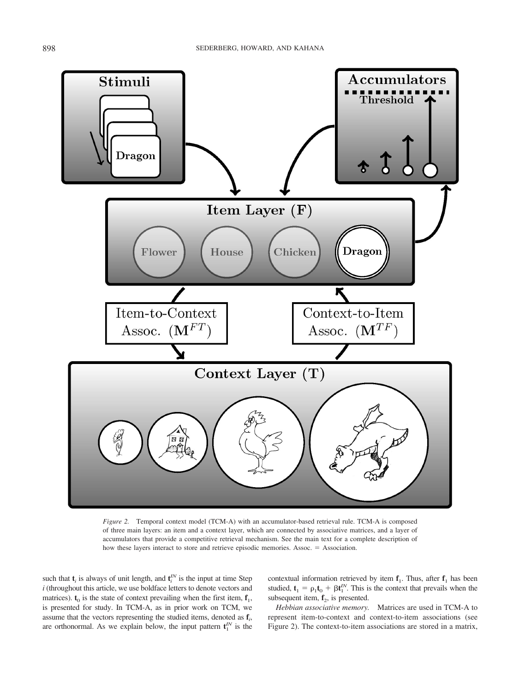

*Figure 2.* Temporal context model (TCM-A) with an accumulator-based retrieval rule. TCM-A is composed of three main layers: an item and a context layer, which are connected by associative matrices, and a layer of accumulators that provide a competitive retrieval mechanism. See the main text for a complete description of how these layers interact to store and retrieve episodic memories. Assoc.  $=$  Association.

such that  $\mathbf{t}_i$  is always of unit length, and  $\mathbf{t}_i^{\prime N}$  is the input at time Step *i* (throughout this article, we use boldface letters to denote vectors and matrices).  $\mathbf{t}_0$  is the state of context prevailing when the first item,  $\mathbf{f}_1$ , is presented for study. In TCM-A, as in prior work on TCM, we assume that the vectors representing the studied items, denoted as **f***<sup>i</sup>* , are orthonormal. As we explain below, the input pattern  $t_1^N$  is the

contextual information retrieved by item  $f_1$ . Thus, after  $f_1$  has been studied,  $\mathbf{t}_1 = \rho_1 \mathbf{t}_0 + \beta \mathbf{t}_1^N$ . This is the context that prevails when the subsequent item,  $f_2$ , is presented.

*Hebbian associative memory.* Matrices are used in TCM-A to represent item-to-context and context-to-item associations (see Figure 2). The context-to-item associations are stored in a matrix,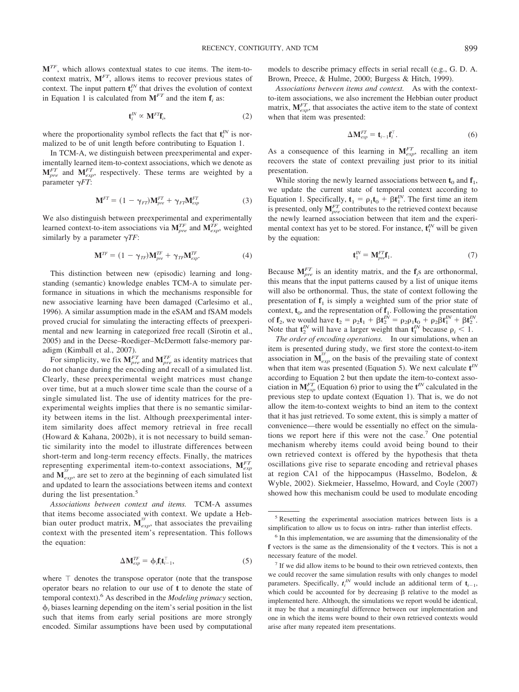**M***TF*, which allows contextual states to cue items. The item-tocontext matrix, **M***FT*, allows items to recover previous states of context. The input pattern  $\mathbf{t}^{IN}_{i}$  that drives the evolution of context in Equation 1 is calculated from  $M^{FT}$  and the item  $f_i$  as:

$$
\mathbf{t}_i^N \propto \mathbf{M}^{FT} \mathbf{f}_i, \tag{2}
$$

where the proportionality symbol reflects the fact that  $\mathbf{t}^{IN}_{i}$  is normalized to be of unit length before contributing to Equation 1.

In TCM-A, we distinguish between preexperimental and experimentally learned item-to-context associations, which we denote as  $M_{pre}^{FT}$  and  $M_{exp}^{FT}$ , respectively. These terms are weighted by a parameter  $\gamma FT$ :

$$
\mathbf{M}^{FT} = (1 - \gamma_{FT})\mathbf{M}_{pre}^{FT} + \gamma_{FT}\mathbf{M}_{exp}^{FT}
$$
(3)

We also distinguish between preexperimental and experimentally learned context-to-item associations via  $\mathbf{M}_{pre}^{TF}$  and  $\mathbf{M}_{exp}^{TF}$ , weighted similarly by a parameter  $\gamma T$ :

$$
\mathbf{M}^{TF} = (1 - \gamma_{TF}) \mathbf{M}_{pre}^{TF} + \gamma_{TF} \mathbf{M}_{exp}^{TF}.
$$
 (4)

This distinction between new (episodic) learning and longstanding (semantic) knowledge enables TCM-A to simulate performance in situations in which the mechanisms responsible for new associative learning have been damaged (Carlesimo et al., 1996). A similar assumption made in the eSAM and fSAM models proved crucial for simulating the interacting effects of preexperimental and new learning in categorized free recall (Sirotin et al., 2005) and in the Deese–Roediger–McDermott false-memory paradigm (Kimball et al., 2007).

For simplicity, we fix  $M_{pre}^{FT}$  and  $M_{pre}^{TF}$  as identity matrices that do not change during the encoding and recall of a simulated list. Clearly, these preexperimental weight matrices must change over time, but at a much slower time scale than the course of a single simulated list. The use of identity matrices for the preexperimental weights implies that there is no semantic similarity between items in the list. Although preexperimental interitem similarity does affect memory retrieval in free recall (Howard & Kahana, 2002b), it is not necessary to build semantic similarity into the model to illustrate differences between short-term and long-term recency effects. Finally, the matrices representing experimental item-to-context associations,  $M_{exp}^{FT}$ and  $M_{exp}^{tr}$ , are set to zero at the beginning of each simulated list and updated to learn the associations between items and context during the list presentation.<sup>5</sup>

*Associations between context and items.* TCM-A assumes that items become associated with context. We update a Hebbian outer product matrix,  $M_{exp}^{T_F}$ , that associates the prevailing context with the presented item's representation. This follows the equation:

$$
\Delta \mathbf{M}_{exp}^{TF} = \phi_i \mathbf{f}_i \mathbf{t}_{i-1}^\top,\tag{5}
$$

where  $\top$  denotes the transpose operator (note that the transpose operator bears no relation to our use of **t** to denote the state of temporal context).6 As described in the *Modeling primacy* section,  $\phi_i$  biases learning depending on the item's serial position in the list such that items from early serial positions are more strongly encoded. Similar assumptions have been used by computational models to describe primacy effects in serial recall (e.g., G. D. A. Brown, Preece, & Hulme, 2000; Burgess & Hitch, 1999).

*Associations between items and context.* As with the contextto-item associations, we also increment the Hebbian outer product matrix,  $M_{exp}^{FT}$ , that associates the active item to the state of context when that item was presented:

$$
\Delta \mathbf{M}_{exp}^{FT} = \mathbf{t}_{i-1} \mathbf{f}_i^{\top}.
$$
 (6)

As a consequence of this learning in  $M_{exp}^{FT}$ , recalling an item recovers the state of context prevailing just prior to its initial presentation.

While storing the newly learned associations between  $t_0$  and  $f_1$ , we update the current state of temporal context according to Equation 1. Specifically,  $\mathbf{t}_1 = \rho_1 \mathbf{t}_0 + \beta \mathbf{t}_1^{\prime N}$ . The first time an item is presented, only  $M_{pre}^{FT}$  contributes to the retrieved context because the newly learned association between that item and the experimental context has yet to be stored. For instance,  $t_1^N$  will be given by the equation:

$$
\mathbf{t}_1^{IN} = \mathbf{M}_{pre}^{FT} \mathbf{f}_1. \tag{7}
$$

Because  $M_{pre}^{FT}$  is an identity matrix, and the  $f_i$ s are orthonormal, this means that the input patterns caused by a list of unique items will also be orthonormal. Thus, the state of context following the presentation of  $f_1$  is simply a weighted sum of the prior state of context,  $\mathbf{t}_0$ , and the representation of  $\mathbf{f}_1$ . Following the presentation of  $f_2$ , we would have  $f_2 = \rho_2 f_1 + \beta f_2^{N} = \rho_2 \rho_1 f_0 + \rho_2 \beta f_1^{N} + \beta f_2^{N}$ . Note that  $\mathbf{t}_2^{\prime N}$  will have a larger weight than  $\mathbf{t}_1^{\prime N}$  because  $\rho_i < 1$ .

*The order of encoding operations.* In our simulations, when an item is presented during study, we first store the context-to-item association in  $M_{exp}^{TF}$  on the basis of the prevailing state of context when that item was presented (Equation 5). We next calculate  $t^{IN}$ according to Equation 2 but then update the item-to-context association in  $M_{exp}^{FT}$  (Equation 6) prior to using the  $t^{IN}$  calculated in the previous step to update context (Equation 1). That is, we do not allow the item-to-context weights to bind an item to the context that it has just retrieved. To some extent, this is simply a matter of convenience—there would be essentially no effect on the simulations we report here if this were not the case.<sup>7</sup> One potential mechanism whereby items could avoid being bound to their own retrieved context is offered by the hypothesis that theta oscillations give rise to separate encoding and retrieval phases at region CA1 of the hippocampus (Hasselmo, Bodelon, & Wyble, 2002). Siekmeier, Hasselmo, Howard, and Coyle (2007) showed how this mechanism could be used to modulate encoding

<sup>5</sup> Resetting the experimental association matrices between lists is a simplification to allow us to focus on intra- rather than interlist effects.

 $6$  In this implementation, we are assuming that the dimensionality of the **f** vectors is the same as the dimensionality of the **t** vectors. This is not a necessary feature of the model.

 $7$  If we did allow items to be bound to their own retrieved contexts, then we could recover the same simulation results with only changes to model parameters. Specifically,  $t_i^N$  would include an additional term of  $t_{i-1}$ , which could be accounted for by decreasing  $\beta$  relative to the model as implemented here. Although, the simulations we report would be identical, it may be that a meaningful difference between our implementation and one in which the items were bound to their own retrieved contexts would arise after many repeated item presentations.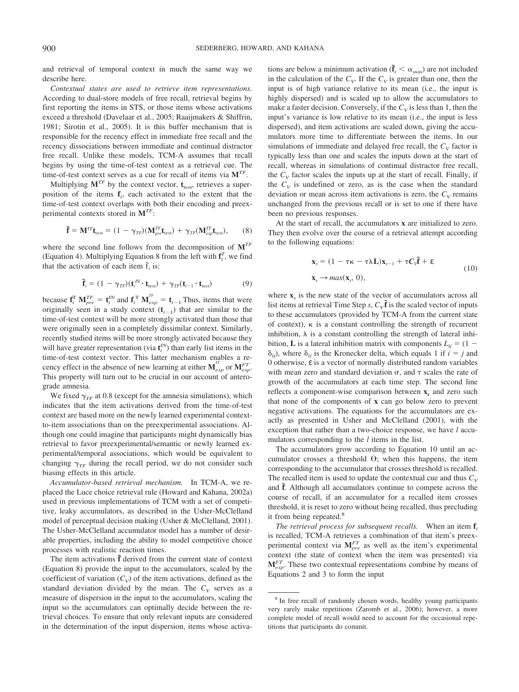and retrieval of temporal context in much the same way we describe here.

*Contextual states are used to retrieve item representations.* According to dual-store models of free recall, retrieval begins by first reporting the items in STS, or those items whose activations exceed a threshold (Davelaar et al., 2005; Raaijmakers & Shiffrin, 1981; Sirotin et al., 2005). It is this buffer mechanism that is responsible for the recency effect in immediate free recall and the recency dissociations between immediate and continual distractor free recall. Unlike these models, TCM-A assumes that recall begins by using the time-of-test context as a retrieval cue. The time-of-test context serves as a cue for recall of items via **M***TF*.

Multiplying  $M^{TF}$  by the context vector,  $t_{test}$ , retrieves a superposition of the items **f***<sup>i</sup>* , each activated to the extent that the time-of-test context overlaps with both their encoding and preexperimental contexts stored in **M***TF*:

$$
\tilde{\mathbf{f}} = \mathbf{M}^{TF}\mathbf{t}_{\text{test}} = (1 - \gamma_{TF})(\mathbf{M}_{\text{pre}}^{TF}\mathbf{t}_{\text{test}}) + \gamma_{TF}(\mathbf{M}_{\text{exp}}^{TF}\mathbf{t}_{\text{test}}),
$$
(8)

where the second line follows from the decomposition of **M***TF* (Equation 4). Multiplying Equation 8 from the left with  $f_i^T$ , we find that the activation of each item  $\tilde{f}$ , is:

$$
\tilde{\mathbf{f}}_i = (1 - \gamma_{TF})(\mathbf{t}_i^{IN} \cdot \mathbf{t}_{\text{test}}) + \gamma_{TF}(\mathbf{t}_{i-1} \cdot \mathbf{t}_{\text{test}})
$$
(9)

because  $\mathbf{f}_i^{\text{T}} \mathbf{M}_{pre}^{TF} = \mathbf{t}_i^{IN}$  and  $\mathbf{f}_i^{\text{T}} \mathbf{M}_{exp}^{TF} = \mathbf{t}_{i-1}$ . Thus, items that were originally seen in a study context  $(t_{i-1})$  that are similar to the time-of-test context will be more strongly activated than those that were originally seen in a completely dissimilar context. Similarly, recently studied items will be more strongly activated because they will have greater representation (via  $t_i^N$ ) than early list items in the time-of-test context vector. This latter mechanism enables a recency effect in the absence of new learning at either  $\mathbf{M}_{exp}^{T}$  or  $\mathbf{M}_{exp}^{FT}$ . This property will turn out to be crucial in our account of anterograde amnesia.

We fixed  $\gamma_{TF}$  at 0.8 (except for the amnesia simulations), which indicates that the item activations derived from the time-of-test context are based more on the newly learned experimental contextto-item associations than on the preexperimental associations. Although one could imagine that participants might dynamically bias retrieval to favor preexperimental/semantic or newly learned experimental/temporal associations, which would be equivalent to changing  $\gamma_{TF}$  during the recall period, we do not consider such biasing effects in this article.

*Accumulator-based retrieval mechanism.* In TCM-A, we replaced the Luce choice retrieval rule (Howard and Kahana, 2002a) used in previous implementations of TCM with a set of competitive, leaky accumulators, as described in the Usher-McClelland model of perceptual decision making (Usher & McClelland, 2001). The Usher-McClelland accumulator model has a number of desirable properties, including the ability to model competitive choice processes with realistic reaction times.

The item activations **˜f** derived from the current state of context (Equation 8) provide the input to the accumulators, scaled by the coefficient of variation  $(C_V)$  of the item activations, defined as the standard deviation divided by the mean. The  $C_V$  serves as a measure of dispersion in the input to the accumulators, scaling the input so the accumulators can optimally decide between the retrieval choices. To ensure that only relevant inputs are considered in the determination of the input dispersion, items whose activa-

tions are below a minimum activation  $(\mathbf{\tilde{f}}_i < \alpha_{min})$  are not included in the calculation of the  $C_V$ . If the  $C_V$  is greater than one, then the input is of high variance relative to its mean (i.e., the input is highly dispersed) and is scaled up to allow the accumulators to make a faster decision. Conversely, if the  $C_V$  is less than 1, then the input's variance is low relative to its mean (i.e., the input is less dispersed), and item activations are scaled down, giving the accumulators more time to differentiate between the items. In our simulations of immediate and delayed free recall, the  $C_V$  factor is typically less than one and scales the inputs down at the start of recall, whereas in simulations of continual distractor free recall, the  $C_V$  factor scales the inputs up at the start of recall. Finally, if the  $C_V$  is undefined or zero, as is the case when the standard deviation or mean across item activations is zero, the  $C_V$  remains unchanged from the previous recall or is set to one if there have been no previous responses.

At the start of recall, the accumulators **x** are initialized to zero. They then evolve over the course of a retrieval attempt according to the following equations:

$$
\mathbf{x}_{s} = (1 - \tau \kappa - \tau \lambda \mathbf{L}) \mathbf{x}_{s-1} + \tau C_{v} \mathbf{\tilde{f}} + \varepsilon
$$
  

$$
\mathbf{x}_{s} \rightarrow \max(\mathbf{x}_{s}, 0),
$$
 (10)

where  $\mathbf{x}_s$  is the new state of the vector of accumulators across all list items at retrieval Time Step *s*,  $C_V \tilde{f}$  is the scaled vector of inputs to these accumulators (provided by TCM-A from the current state of context),  $\kappa$  is a constant controlling the strength of recurrent inhibition,  $\lambda$  is a constant controlling the strength of lateral inhibition, **L** is a lateral inhibition matrix with components  $L_{ii} = (1 \delta_{ij}$ ), where  $\delta_{ij}$  is the Kronecker delta, which equals 1 if  $i = j$  and 0 otherwise, ε is a vector of normally distributed random variables with mean zero and standard deviation  $\sigma$ , and  $\tau$  scales the rate of growth of the accumulators at each time step. The second line reflects a component-wise comparison between **x***<sup>s</sup>* and zero such that none of the components of **x** can go below zero to prevent negative activations. The equations for the accumulators are exactly as presented in Usher and McClelland (2001), with the exception that rather than a two-choice response, we have *l* accumulators corresponding to the *l* items in the list.

The accumulators grow according to Equation 10 until an accumulator crosses a threshold  $\Theta$ ; when this happens, the item corresponding to the accumulator that crosses threshold is recalled. The recalled item is used to update the contextual cue and thus  $C_V$ and **f ˜**. Although all accumulators continue to compete across the course of recall, if an accumulator for a recalled item crosses threshold, it is reset to zero without being recalled, thus precluding it from being repeated.<sup>8</sup>

*The retrieval process for subsequent recalls.* When an item **f***<sup>i</sup>* is recalled, TCM-A retrieves a combination of that item's preexperimental context via  $M_{pre}^{FT}$  as well as the item's experimental context (the state of context when the item was presented) via  $M_{exp}^{FT}$ . These two contextual representations combine by means of Equations 2 and 3 to form the input

<sup>&</sup>lt;sup>8</sup> In free recall of randomly chosen words, healthy young participants very rarely make repetitions (Zaromb et al., 2006); however, a more complete model of recall would need to account for the occasional repetitions that participants do commit.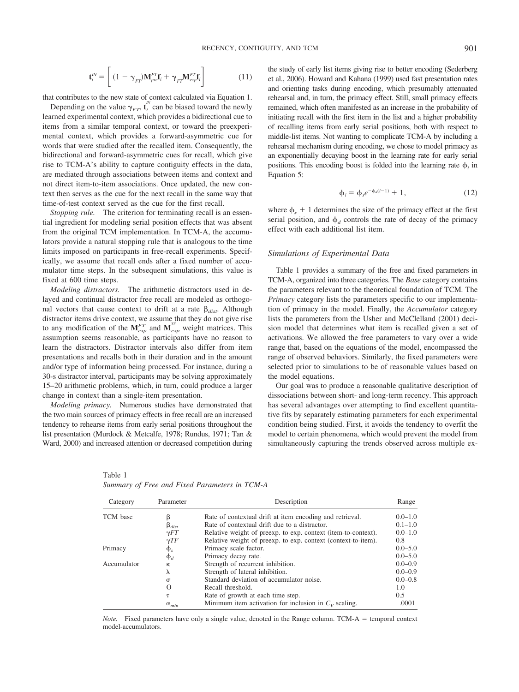$$
\mathbf{t}_{i}^{IN} = \left[ (1 - \gamma_{FT}) \mathbf{M}_{pre}^{FT} \mathbf{f}_{i} + \gamma_{FT} \mathbf{M}_{exp}^{FT} \mathbf{f}_{i} \right]
$$
(11)

that contributes to the new state of context calculated via Equation 1.

Depending on the value  $\gamma_{FT}$ ,  $\mathbf{t}_i^{N}$  can be biased toward the newly learned experimental context, which provides a bidirectional cue to items from a similar temporal context, or toward the preexperimental context, which provides a forward-asymmetric cue for words that were studied after the recalled item. Consequently, the bidirectional and forward-asymmetric cues for recall, which give rise to TCM-A's ability to capture contiguity effects in the data, are mediated through associations between items and context and not direct item-to-item associations. Once updated, the new context then serves as the cue for the next recall in the same way that time-of-test context served as the cue for the first recall.

*Stopping rule.* The criterion for terminating recall is an essential ingredient for modeling serial position effects that was absent from the original TCM implementation. In TCM-A, the accumulators provide a natural stopping rule that is analogous to the time limits imposed on participants in free-recall experiments. Specifically, we assume that recall ends after a fixed number of accumulator time steps. In the subsequent simulations, this value is fixed at 600 time steps.

*Modeling distractors.* The arithmetic distractors used in delayed and continual distractor free recall are modeled as orthogonal vectors that cause context to drift at a rate  $\beta_{dist}$ . Although distractor items drive context, we assume that they do not give rise to any modification of the  $M_{exp}^{FT}$  and  $M_{exp}^{TT}$  weight matrices. This assumption seems reasonable, as participants have no reason to learn the distractors. Distractor intervals also differ from item presentations and recalls both in their duration and in the amount and/or type of information being processed. For instance, during a 30-s distractor interval, participants may be solving approximately 15–20 arithmetic problems, which, in turn, could produce a larger change in context than a single-item presentation.

*Modeling primacy.* Numerous studies have demonstrated that the two main sources of primacy effects in free recall are an increased tendency to rehearse items from early serial positions throughout the list presentation (Murdock & Metcalfe, 1978; Rundus, 1971; Tan & Ward, 2000) and increased attention or decreased competition during

the study of early list items giving rise to better encoding (Sederberg et al., 2006). Howard and Kahana (1999) used fast presentation rates and orienting tasks during encoding, which presumably attenuated rehearsal and, in turn, the primacy effect. Still, small primacy effects remained, which often manifested as an increase in the probability of initiating recall with the first item in the list and a higher probability of recalling items from early serial positions, both with respect to middle-list items. Not wanting to complicate TCM-A by including a rehearsal mechanism during encoding, we chose to model primacy as an exponentially decaying boost in the learning rate for early serial positions. This encoding boost is folded into the learning rate  $\phi_i$  in Equation 5:

$$
\Phi_i = \Phi_s e^{-\Phi_d(i-1)} + 1,\tag{12}
$$

where  $\phi_s + 1$  determines the size of the primacy effect at the first serial position, and  $\phi_d$  controls the rate of decay of the primacy effect with each additional list item.

#### *Simulations of Experimental Data*

Table 1 provides a summary of the free and fixed parameters in TCM-A, organized into three categories. The *Base* category contains the parameters relevant to the theoretical foundation of TCM*.* The *Primacy* category lists the parameters specific to our implementation of primacy in the model. Finally, the *Accumulator* category lists the parameters from the Usher and McClelland (2001) decision model that determines what item is recalled given a set of activations. We allowed the free parameters to vary over a wide range that, based on the equations of the model, encompassed the range of observed behaviors. Similarly, the fixed parameters were selected prior to simulations to be of reasonable values based on the model equations.

Our goal was to produce a reasonable qualitative description of dissociations between short- and long-term recency. This approach has several advantages over attempting to find excellent quantitative fits by separately estimating parameters for each experimental condition being studied. First, it avoids the tendency to overfit the model to certain phenomena, which would prevent the model from simultaneously capturing the trends observed across multiple ex-

Table 1 *Summary of Free and Fixed Parameters in TCM-A*

| Category    | Parameter      | Description                                                   | Range       |
|-------------|----------------|---------------------------------------------------------------|-------------|
| TCM base    |                | Rate of contextual drift at item encoding and retrieval.      | $0.0 - 1.0$ |
|             | $\beta_{dist}$ | Rate of contextual drift due to a distractor.                 | $0.1 - 1.0$ |
|             | $\gamma FT$    | Relative weight of preexp. to exp. context (item-to-context). | $0.0 - 1.0$ |
|             | $\gamma T F$   | Relative weight of preexp. to exp. context (context-to-item). | 0.8         |
| Primacy     | $\Phi_s$       | Primacy scale factor.                                         | $0.0 - 5.0$ |
|             | $\Phi_d$       | Primacy decay rate.                                           | $0.0 - 5.0$ |
| Accumulator | к              | Strength of recurrent inhibition.                             | $0.0 - 0.9$ |
|             | λ              | Strength of lateral inhibition.                               | $0.0 - 0.9$ |
|             | $\sigma$       | Standard deviation of accumulator noise.                      | $0.0 - 0.8$ |
|             | $\Theta$       | Recall threshold.                                             | 1.0         |
|             | T              | Rate of growth at each time step.                             | 0.5         |
|             | $\alpha_{min}$ | Minimum item activation for inclusion in $C_V$ scaling.       | .0001       |

*Note.* Fixed parameters have only a single value, denoted in the Range column. TCM-A = temporal context model-accumulators.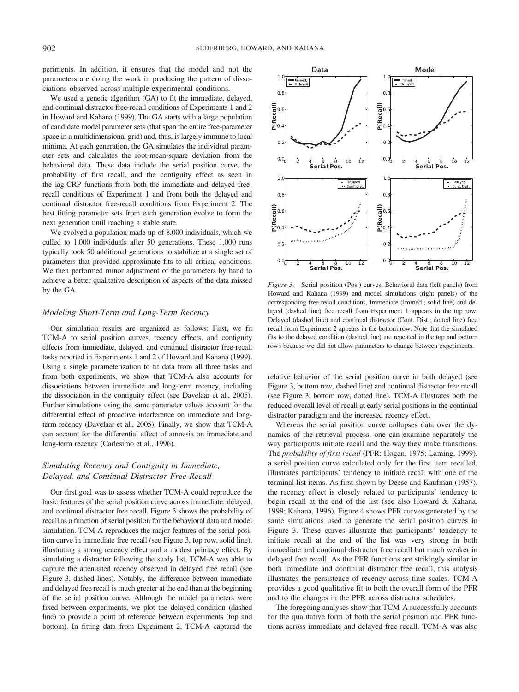periments. In addition, it ensures that the model and not the parameters are doing the work in producing the pattern of dissociations observed across multiple experimental conditions.

We used a genetic algorithm (GA) to fit the immediate, delayed, and continual distractor free-recall conditions of Experiments 1 and 2 in Howard and Kahana (1999). The GA starts with a large population of candidate model parameter sets (that span the entire free-parameter space in a multidimensional grid) and, thus, is largely immune to local minima. At each generation, the GA simulates the individual parameter sets and calculates the root-mean-square deviation from the behavioral data. These data include the serial position curve, the probability of first recall, and the contiguity effect as seen in the lag-CRP functions from both the immediate and delayed freerecall conditions of Experiment 1 and from both the delayed and continual distractor free-recall conditions from Experiment 2. The best fitting parameter sets from each generation evolve to form the next generation until reaching a stable state.

We evolved a population made up of 8,000 individuals, which we culled to 1,000 individuals after 50 generations. These 1,000 runs typically took 50 additional generations to stabilize at a single set of parameters that provided approximate fits to all critical conditions. We then performed minor adjustment of the parameters by hand to achieve a better qualitative description of aspects of the data missed by the GA.

## *Modeling Short-Term and Long-Term Recency*

Our simulation results are organized as follows: First, we fit TCM-A to serial position curves, recency effects, and contiguity effects from immediate, delayed, and continual distractor free-recall tasks reported in Experiments 1 and 2 of Howard and Kahana (1999). Using a single parameterization to fit data from all three tasks and from both experiments, we show that TCM-A also accounts for dissociations between immediate and long-term recency, including the dissociation in the contiguity effect (see Davelaar et al., 2005). Further simulations using the same parameter values account for the differential effect of proactive interference on immediate and longterm recency (Davelaar et al., 2005). Finally, we show that TCM-A can account for the differential effect of amnesia on immediate and long-term recency (Carlesimo et al., 1996).

# *Simulating Recency and Contiguity in Immediate, Delayed, and Continual Distractor Free Recall*

Our first goal was to assess whether TCM-A could reproduce the basic features of the serial position curve across immediate, delayed, and continual distractor free recall. Figure 3 shows the probability of recall as a function of serial position for the behavioral data and model simulation. TCM-A reproduces the major features of the serial position curve in immediate free recall (see Figure 3, top row, solid line), illustrating a strong recency effect and a modest primacy effect. By simulating a distractor following the study list, TCM-A was able to capture the attenuated recency observed in delayed free recall (see Figure 3, dashed lines). Notably, the difference between immediate and delayed free recall is much greater at the end than at the beginning of the serial position curve. Although the model parameters were fixed between experiments, we plot the delayed condition (dashed line) to provide a point of reference between experiments (top and bottom). In fitting data from Experiment 2, TCM-A captured the



*Figure 3.* Serial position (Pos.) curves. Behavioral data (left panels) from Howard and Kahana (1999) and model simulations (right panels) of the corresponding free-recall conditions. Immediate (Immed.; solid line) and delayed (dashed line) free recall from Experiment 1 appears in the top row. Delayed (dashed line) and continual distractor (Cont. Dist.; dotted line) free recall from Experiment 2 appears in the bottom row. Note that the simulated fits to the delayed condition (dashed line) are repeated in the top and bottom rows because we did not allow parameters to change between experiments.

relative behavior of the serial position curve in both delayed (see Figure 3, bottom row, dashed line) and continual distractor free recall (see Figure 3, bottom row, dotted line). TCM-A illustrates both the reduced overall level of recall at early serial positions in the continual distractor paradigm and the increased recency effect.

Whereas the serial position curve collapses data over the dynamics of the retrieval process, one can examine separately the way participants initiate recall and the way they make transitions. The *probability of first recall* (PFR; Hogan, 1975; Laming, 1999), a serial position curve calculated only for the first item recalled, illustrates participants' tendency to initiate recall with one of the terminal list items. As first shown by Deese and Kaufman (1957), the recency effect is closely related to participants' tendency to begin recall at the end of the list (see also Howard & Kahana, 1999; Kahana, 1996). Figure 4 shows PFR curves generated by the same simulations used to generate the serial position curves in Figure 3. These curves illustrate that participants' tendency to initiate recall at the end of the list was very strong in both immediate and continual distractor free recall but much weaker in delayed free recall. As the PFR functions are strikingly similar in both immediate and continual distractor free recall, this analysis illustrates the persistence of recency across time scales. TCM-A provides a good qualitative fit to both the overall form of the PFR and to the changes in the PFR across distractor schedules.

The foregoing analyses show that TCM-A successfully accounts for the qualitative form of both the serial position and PFR functions across immediate and delayed free recall. TCM-A was also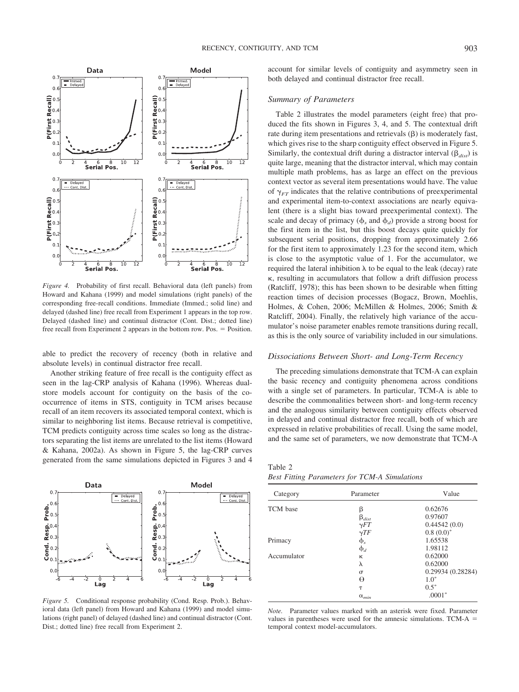

*Figure 4.* Probability of first recall. Behavioral data (left panels) from Howard and Kahana (1999) and model simulations (right panels) of the corresponding free-recall conditions. Immediate (Immed.; solid line) and delayed (dashed line) free recall from Experiment 1 appears in the top row. Delayed (dashed line) and continual distractor (Cont. Dist.; dotted line) free recall from Experiment 2 appears in the bottom row. Pos. = Position.

able to predict the recovery of recency (both in relative and absolute levels) in continual distractor free recall.

Another striking feature of free recall is the contiguity effect as seen in the lag-CRP analysis of Kahana (1996). Whereas dualstore models account for contiguity on the basis of the cooccurrence of items in STS, contiguity in TCM arises because recall of an item recovers its associated temporal context, which is similar to neighboring list items. Because retrieval is competitive, TCM predicts contiguity across time scales so long as the distractors separating the list items are unrelated to the list items (Howard & Kahana, 2002a). As shown in Figure 5, the lag-CRP curves generated from the same simulations depicted in Figures 3 and 4



*Figure 5.* Conditional response probability (Cond. Resp. Prob.). Behavioral data (left panel) from Howard and Kahana (1999) and model simulations (right panel) of delayed (dashed line) and continual distractor (Cont. Dist.; dotted line) free recall from Experiment 2.

account for similar levels of contiguity and asymmetry seen in both delayed and continual distractor free recall.

#### *Summary of Parameters*

Table 2 illustrates the model parameters (eight free) that produced the fits shown in Figures 3, 4, and 5. The contextual drift rate during item presentations and retrievals  $(\beta)$  is moderately fast, which gives rise to the sharp contiguity effect observed in Figure 5. Similarly, the contextual drift during a distractor interval  $(\beta_{dist})$  is quite large, meaning that the distractor interval, which may contain multiple math problems, has as large an effect on the previous context vector as several item presentations would have. The value of  $\gamma_{FT}$  indicates that the relative contributions of preexperimental and experimental item-to-context associations are nearly equivalent (there is a slight bias toward preexperimental context). The scale and decay of primacy ( $\phi_s$  and  $\phi_d$ ) provide a strong boost for the first item in the list, but this boost decays quite quickly for subsequent serial positions, dropping from approximately 2.66 for the first item to approximately 1.23 for the second item, which is close to the asymptotic value of 1. For the accumulator, we required the lateral inhibition  $\lambda$  to be equal to the leak (decay) rate , resulting in accumulators that follow a drift diffusion process (Ratcliff, 1978); this has been shown to be desirable when fitting reaction times of decision processes (Bogacz, Brown, Moehlis, Holmes, & Cohen, 2006; McMillen & Holmes, 2006; Smith & Ratcliff, 2004). Finally, the relatively high variance of the accumulator's noise parameter enables remote transitions during recall, as this is the only source of variability included in our simulations.

#### *Dissociations Between Short- and Long-Term Recency*

The preceding simulations demonstrate that TCM-A can explain the basic recency and contiguity phenomena across conditions with a single set of parameters. In particular, TCM-A is able to describe the commonalities between short- and long-term recency and the analogous similarity between contiguity effects observed in delayed and continual distractor free recall, both of which are expressed in relative probabilities of recall. Using the same model, and the same set of parameters, we now demonstrate that TCM-A

Table 2 *Best Fitting Parameters for TCM-A Simulations*

| Category        | Parameter      | Value            |
|-----------------|----------------|------------------|
| <b>TCM</b> base | β              | 0.62676          |
|                 | $\beta_{dist}$ | 0.97607          |
|                 | $\gamma FT$    | 0.44542(0.0)     |
|                 | $\gamma TF$    | $0.8(0.0)^*$     |
| Primacy         | $\Phi_s$       | 1.65538          |
|                 | $\Phi_d$       | 1.98112          |
| Accumulator     | к              | 0.62000          |
|                 | λ              | 0.62000          |
|                 | $\sigma$       | 0.29934(0.28284) |
|                 | Θ              | $1.0^*$          |
|                 | T              | $0.5^*$          |
|                 | Ω<br>min       | $.0001*$         |

*Note.* Parameter values marked with an asterisk were fixed. Parameter values in parentheses were used for the amnesic simulations. TCM-A temporal context model-accumulators.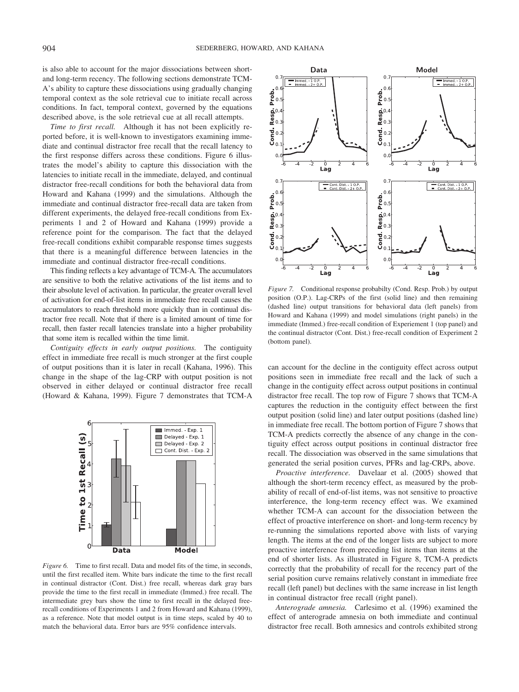is also able to account for the major dissociations between shortand long-term recency. The following sections demonstrate TCM-A's ability to capture these dissociations using gradually changing temporal context as the sole retrieval cue to initiate recall across conditions. In fact, temporal context, governed by the equations described above, is the sole retrieval cue at all recall attempts.

*Time to first recall.* Although it has not been explicitly reported before, it is well-known to investigators examining immediate and continual distractor free recall that the recall latency to the first response differs across these conditions. Figure 6 illustrates the model's ability to capture this dissociation with the latencies to initiate recall in the immediate, delayed, and continual distractor free-recall conditions for both the behavioral data from Howard and Kahana (1999) and the simulations. Although the immediate and continual distractor free-recall data are taken from different experiments, the delayed free-recall conditions from Experiments 1 and 2 of Howard and Kahana (1999) provide a reference point for the comparison. The fact that the delayed free-recall conditions exhibit comparable response times suggests that there is a meaningful difference between latencies in the immediate and continual distractor free-recall conditions.

This finding reflects a key advantage of TCM-A*.* The accumulators are sensitive to both the relative activations of the list items and to their absolute level of activation. In particular, the greater overall level of activation for end-of-list items in immediate free recall causes the accumulators to reach threshold more quickly than in continual distractor free recall. Note that if there is a limited amount of time for recall, then faster recall latencies translate into a higher probability that some item is recalled within the time limit.

*Contiguity effects in early output positions.* The contiguity effect in immediate free recall is much stronger at the first couple of output positions than it is later in recall (Kahana, 1996). This change in the shape of the lag-CRP with output position is not observed in either delayed or continual distractor free recall (Howard & Kahana, 1999). Figure 7 demonstrates that TCM-A



*Figure 6.* Time to first recall. Data and model fits of the time, in seconds, until the first recalled item. White bars indicate the time to the first recall in continual distractor (Cont. Dist.) free recall, whereas dark gray bars provide the time to the first recall in immediate (Immed.) free recall. The intermediate grey bars show the time to first recall in the delayed freerecall conditions of Experiments 1 and 2 from Howard and Kahana (1999), as a reference. Note that model output is in time steps, scaled by 40 to match the behavioral data. Error bars are 95% confidence intervals.



*Figure 7.* Conditional response probabilty (Cond. Resp. Prob.) by output position (O.P.). Lag-CRPs of the first (solid line) and then remaining (dashed line) output transitions for behavioral data (left panels) from Howard and Kahana (1999) and model simulations (right panels) in the immediate (Immed.) free-recall condition of Experiement 1 (top panel) and the continual distractor (Cont. Dist.) free-recall condition of Experiment 2 (bottom panel).

can account for the decline in the contiguity effect across output positions seen in immediate free recall and the lack of such a change in the contiguity effect across output positions in continual distractor free recall. The top row of Figure 7 shows that TCM-A captures the reduction in the contiguity effect between the first output position (solid line) and later output positions (dashed line) in immediate free recall. The bottom portion of Figure 7 shows that TCM-A predicts correctly the absence of any change in the contiguity effect across output positions in continual distractor free recall. The dissociation was observed in the same simulations that generated the serial position curves, PFRs and lag-CRPs, above.

*Proactive interference.* Davelaar et al. (2005) showed that although the short-term recency effect, as measured by the probability of recall of end-of-list items, was not sensitive to proactive interference, the long-term recency effect was. We examined whether TCM-A can account for the dissociation between the effect of proactive interference on short- and long-term recency by re-running the simulations reported above with lists of varying length. The items at the end of the longer lists are subject to more proactive interference from preceding list items than items at the end of shorter lists. As illustrated in Figure 8, TCM-A predicts correctly that the probability of recall for the recency part of the serial position curve remains relatively constant in immediate free recall (left panel) but declines with the same increase in list length in continual distractor free recall (right panel).

*Anterograde amnesia.* Carlesimo et al. (1996) examined the effect of anterograde amnesia on both immediate and continual distractor free recall. Both amnesics and controls exhibited strong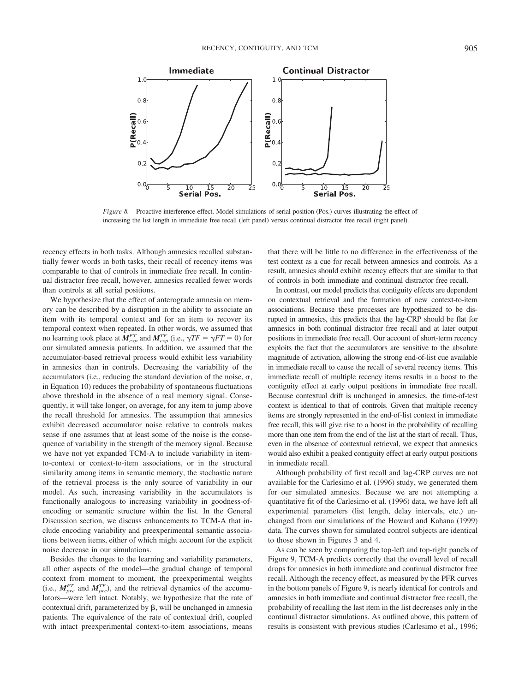

*Figure 8.* Proactive interference effect. Model simulations of serial position (Pos.) curves illustrating the effect of increasing the list length in immediate free recall (left panel) versus continual distractor free recall (right panel).

recency effects in both tasks. Although amnesics recalled substantially fewer words in both tasks, their recall of recency items was comparable to that of controls in immediate free recall. In continual distractor free recall, however, amnesics recalled fewer words than controls at all serial positions.

We hypothesize that the effect of anterograde amnesia on memory can be described by a disruption in the ability to associate an item with its temporal context and for an item to recover its temporal context when repeated. In other words, we assumed that no learning took place at  $\hat{M}_{exp}^{FT}$  and  $\hat{M}_{exp}^{TF}$  (i.e.,  $\gamma TF = \gamma FT = 0$ ) for our simulated amnesia patients. In addition, we assumed that the accumulator-based retrieval process would exhibit less variability in amnesics than in controls. Decreasing the variability of the accumulators (i.e., reducing the standard deviation of the noise,  $\sigma$ , in Equation 10) reduces the probability of spontaneous fluctuations above threshold in the absence of a real memory signal. Consequently, it will take longer, on average, for any item to jump above the recall threshold for amnesics. The assumption that amnesics exhibit decreased accumulator noise relative to controls makes sense if one assumes that at least some of the noise is the consequence of variability in the strength of the memory signal. Because we have not yet expanded TCM-A to include variability in itemto-context or context-to-item associations, or in the structural similarity among items in semantic memory, the stochastic nature of the retrieval process is the only source of variability in our model. As such, increasing variability in the accumulators is functionally analogous to increasing variability in goodness-ofencoding or semantic structure within the list. In the General Discussion section, we discuss enhancements to TCM-A that include encoding variability and preexperimental semantic associations between items, either of which might account for the explicit noise decrease in our simulations.

Besides the changes to the learning and variability parameters, all other aspects of the model—the gradual change of temporal context from moment to moment, the preexperimental weights (i.e.,  $M_{pre}^{FT}$  and  $M_{pre}^{TF}$ ), and the retrieval dynamics of the accumulators—were left intact. Notably, we hypothesize that the rate of contextual drift, parameterized by  $\beta$ , will be unchanged in amnesia patients. The equivalence of the rate of contextual drift, coupled with intact preexperimental context-to-item associations, means that there will be little to no difference in the effectiveness of the test context as a cue for recall between amnesics and controls. As a result, amnesics should exhibit recency effects that are similar to that of controls in both immediate and continual distractor free recall.

In contrast, our model predicts that contiguity effects are dependent on contextual retrieval and the formation of new context-to-item associations. Because these processes are hypothesized to be disrupted in amnesics, this predicts that the lag-CRP should be flat for amnesics in both continual distractor free recall and at later output positions in immediate free recall. Our account of short-term recency exploits the fact that the accumulators are sensitive to the absolute magnitude of activation, allowing the strong end-of-list cue available in immediate recall to cause the recall of several recency items. This immediate recall of multiple recency items results in a boost to the contiguity effect at early output positions in immediate free recall. Because contextual drift is unchanged in amnesics, the time-of-test context is identical to that of controls. Given that multiple recency items are strongly represented in the end-of-list context in immediate free recall, this will give rise to a boost in the probability of recalling more than one item from the end of the list at the start of recall. Thus, even in the absence of contextual retrieval, we expect that amnesics would also exhibit a peaked contiguity effect at early output positions in immediate recall.

Although probability of first recall and lag-CRP curves are not available for the Carlesimo et al. (1996) study, we generated them for our simulated amnesics. Because we are not attempting a quantitative fit of the Carlesimo et al. (1996) data, we have left all experimental parameters (list length, delay intervals, etc.) unchanged from our simulations of the Howard and Kahana (1999) data. The curves shown for simulated control subjects are identical to those shown in Figures 3 and 4.

As can be seen by comparing the top-left and top-right panels of Figure 9, TCM-A predicts correctly that the overall level of recall drops for amnesics in both immediate and continual distractor free recall. Although the recency effect, as measured by the PFR curves in the bottom panels of Figure 9, is nearly identical for controls and amnesics in both immediate and continual distractor free recall, the probability of recalling the last item in the list decreases only in the continual distractor simulations. As outlined above, this pattern of results is consistent with previous studies (Carlesimo et al., 1996;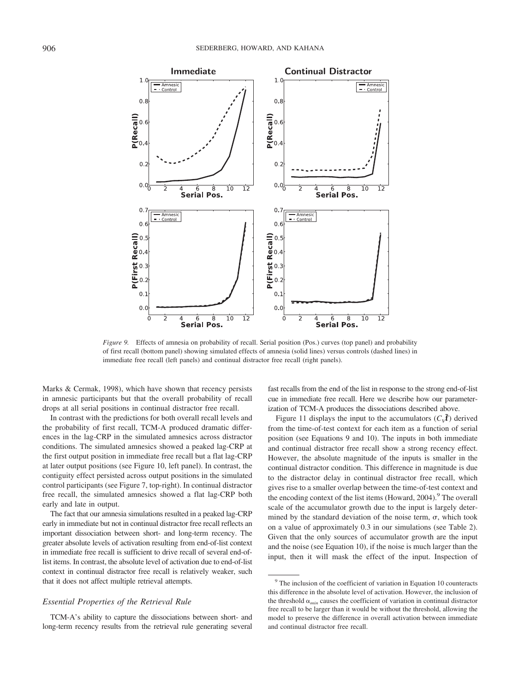

*Figure 9.* Effects of amnesia on probability of recall. Serial position (Pos.) curves (top panel) and probability of first recall (bottom panel) showing simulated effects of amnesia (solid lines) versus controls (dashed lines) in immediate free recall (left panels) and continual distractor free recall (right panels).

Marks & Cermak, 1998), which have shown that recency persists in amnesic participants but that the overall probability of recall drops at all serial positions in continual distractor free recall.

In contrast with the predictions for both overall recall levels and the probability of first recall, TCM-A produced dramatic differences in the lag-CRP in the simulated amnesics across distractor conditions. The simulated amnesics showed a peaked lag-CRP at the first output position in immediate free recall but a flat lag-CRP at later output positions (see Figure 10, left panel). In contrast, the contiguity effect persisted across output positions in the simulated control participants (see Figure 7, top-right). In continual distractor free recall, the simulated amnesics showed a flat lag-CRP both early and late in output.

The fact that our amnesia simulations resulted in a peaked lag-CRP early in immediate but not in continual distractor free recall reflects an important dissociation between short- and long-term recency. The greater absolute levels of activation resulting from end-of-list context in immediate free recall is sufficient to drive recall of several end-oflist items. In contrast, the absolute level of activation due to end-of-list context in continual distractor free recall is relatively weaker, such that it does not affect multiple retrieval attempts.

#### *Essential Properties of the Retrieval Rule*

TCM-A's ability to capture the dissociations between short- and long-term recency results from the retrieval rule generating several fast recalls from the end of the list in response to the strong end-of-list cue in immediate free recall. Here we describe how our parameterization of TCM-A produces the dissociations described above.

Figure 11 displays the input to the accumulators  $(C_v\tilde{f})$  derived from the time-of-test context for each item as a function of serial position (see Equations 9 and 10). The inputs in both immediate and continual distractor free recall show a strong recency effect. However, the absolute magnitude of the inputs is smaller in the continual distractor condition. This difference in magnitude is due to the distractor delay in continual distractor free recall, which gives rise to a smaller overlap between the time-of-test context and the encoding context of the list items (Howard, 2004).<sup>9</sup> The overall scale of the accumulator growth due to the input is largely determined by the standard deviation of the noise term,  $\sigma$ , which took on a value of approximately 0.3 in our simulations (see Table 2). Given that the only sources of accumulator growth are the input and the noise (see Equation 10), if the noise is much larger than the input, then it will mask the effect of the input. Inspection of

<sup>&</sup>lt;sup>9</sup> The inclusion of the coefficient of variation in Equation 10 counteracts this difference in the absolute level of activation. However, the inclusion of the threshold  $\alpha_{min}$  causes the coefficient of variation in continual distractor free recall to be larger than it would be without the threshold, allowing the model to preserve the difference in overall activation between immediate and continual distractor free recall.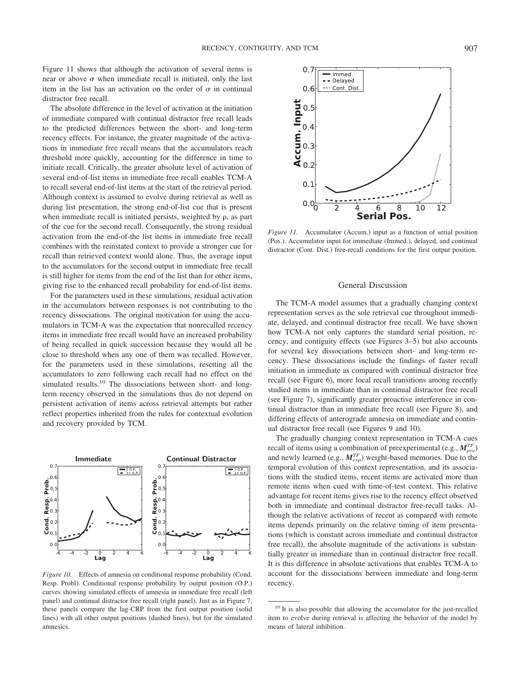Figure 11 shows that although the activation of several items is near or above  $\sigma$  when immediate recall is initiated, only the last item in the list has an activation on the order of  $\sigma$  in continual distractor free recall.

The absolute difference in the level of activation at the initiation of immediate compared with continual distractor free recall leads to the predicted differences between the short- and long-term recency effects. For instance, the greater magnitude of the activations in immediate free recall means that the accumulators reach threshold more quickly, accounting for the difference in time to initiate recall. Critically, the greater absolute level of activation of several end-of-list items in immediate free recall enables TCM-A to recall several end-of-list items at the start of the retrieval period. Although context is assumed to evolve during retrieval as well as during list presentation, the strong end-of-list cue that is present when immediate recall is initiated persists, weighted by  $\rho$ , as part of the cue for the second recall. Consequently, the strong residual activation from the end-of-the list items in immediate free recall combines with the reinstated context to provide a stronger cue for recall than retrieved context would alone. Thus, the average input to the accumulators for the second output in immediate free recall is still higher for items from the end of the list than for other items, giving rise to the enhanced recall probability for end-of-list items.

For the parameters used in these simulations, residual activation in the accumulators between responses is not contributing to the recency dissociations. The original motivation for using the accumulators in TCM-A was the expectation that nonrecalled recency items in immediate free recall would have an increased probability of being recalled in quick succession because they would all be close to threshold when any one of them was recalled. However, for the parameters used in these simulations, resetting all the accumulators to zero following each recall had no effect on the simulated results.<sup>10</sup> The dissociations between short- and longterm recency observed in the simulations thus do not depend on persistent activation of items across retrieval attempts but rather reflect properties inherited from the rules for contextual evolution and recovery provided by TCM.



*Figure 10.* Effects of amnesia on conditional response probability (Cond. Resp. Probl). Conditional response probability by output position (O.P.) curves showing simulated effects of amnesia in immediate free recall (left panel) and continual distractor free recall (right panel). Just as in Figure 7, these panels compare the lag-CRP from the first output position (solid lines) with all other output positions (dashed lines), but for the simulated amnesics.



*Figure 11.* Accumulator (Accum.) input as a function of serial position (Pos.). Accumulator input for immediate (Immed.), delayed, and continual distractor (Cont. Dist.) free-recall conditions for the first output position.

## General Discussion

The TCM-A model assumes that a gradually changing context representation serves as the sole retrieval cue throughout immediate, delayed, and continual distractor free recall. We have shown how TCM-A not only captures the standard serial position, recency, and contiguity effects (see Figures 3–5) but also accounts for several key dissociations between short- and long-term recency. These dissociations include the findings of faster recall initiation in immediate as compared with continual distractor free recall (see Figure 6), more local recall transitions among recently studied items in immediate than in continual distractor free recall (see Figure 7), significantly greater proactive interference in continual distractor than in immediate free recall (see Figure 8), and differing effects of anterograde amnesia on immediate and continual distractor free recall (see Figures 9 and 10).

The gradually changing context representation in TCM-A cues recall of items using a combination of preexperimental (e.g.,  $M_{pre}^{TF}$ ) and newly learned (e.g.,  $M_{exp}^{TF}$ ) weight-based memories. Due to the temporal evolution of this context representation, and its associations with the studied items, recent items are activated more than remote items when cued with time-of-test context. This relative advantage for recent items gives rise to the recency effect observed both in immediate and continual distractor free-recall tasks. Although the relative activations of recent as compared with remote items depends primarily on the relative timing of item presentations (which is constant across immediate and continual distractor free recall), the absolute magnitude of the activations is substantially greater in immediate than in continual distractor free recall. It is this difference in absolute activations that enables TCM-A to account for the dissociations between immediate and long-term recency.

<sup>&</sup>lt;sup>10</sup> It is also possible that allowing the accumulator for the just-recalled item to evolve during retrieval is affecting the behavior of the model by means of lateral inhibition.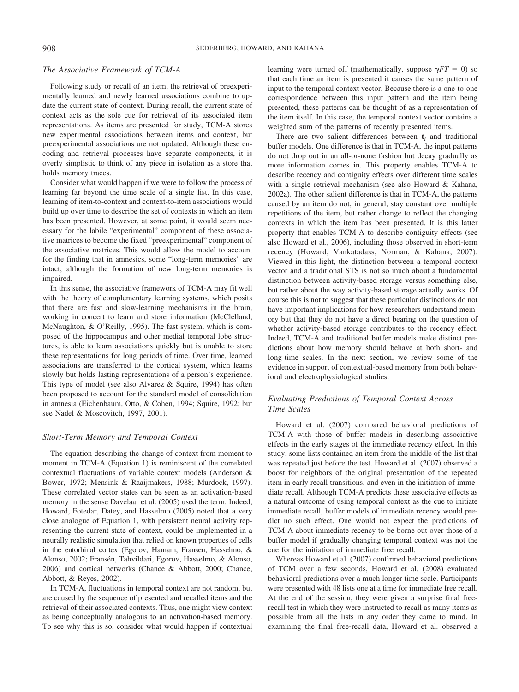## *The Associative Framework of TCM-A*

Following study or recall of an item, the retrieval of preexperimentally learned and newly learned associations combine to update the current state of context. During recall, the current state of context acts as the sole cue for retrieval of its associated item representations. As items are presented for study, TCM-A stores new experimental associations between items and context, but preexperimental associations are not updated. Although these encoding and retrieval processes have separate components, it is overly simplistic to think of any piece in isolation as a store that holds memory traces.

Consider what would happen if we were to follow the process of learning far beyond the time scale of a single list. In this case, learning of item-to-context and context-to-item associations would build up over time to describe the set of contexts in which an item has been presented. However, at some point, it would seem necessary for the labile "experimental" component of these associative matrices to become the fixed "preexperimental" component of the associative matrices. This would allow the model to account for the finding that in amnesics, some "long-term memories" are intact, although the formation of new long-term memories is impaired.

In this sense, the associative framework of TCM-A may fit well with the theory of complementary learning systems, which posits that there are fast and slow-learning mechanisms in the brain, working in concert to learn and store information (McClelland, McNaughton, & O'Reilly, 1995). The fast system, which is composed of the hippocampus and other medial temporal lobe structures, is able to learn associations quickly but is unable to store these representations for long periods of time. Over time, learned associations are transferred to the cortical system, which learns slowly but holds lasting representations of a person's experience. This type of model (see also Alvarez & Squire, 1994) has often been proposed to account for the standard model of consolidation in amnesia (Eichenbaum, Otto, & Cohen, 1994; Squire, 1992; but see Nadel & Moscovitch, 1997, 2001).

#### *Short-Term Memory and Temporal Context*

The equation describing the change of context from moment to moment in TCM-A (Equation 1) is reminiscent of the correlated contextual fluctuations of variable context models (Anderson & Bower, 1972; Mensink & Raaijmakers, 1988; Murdock, 1997). These correlated vector states can be seen as an activation-based memory in the sense Davelaar et al. (2005) used the term. Indeed, Howard, Fotedar, Datey, and Hasselmo (2005) noted that a very close analogue of Equation 1, with persistent neural activity representing the current state of context, could be implemented in a neurally realistic simulation that relied on known properties of cells in the entorhinal cortex (Egorov, Hamam, Fransen, Hasselmo, & Alonso, 2002; Fransén, Tahvildari, Egorov, Hasselmo, & Alonso, 2006) and cortical networks (Chance & Abbott, 2000; Chance, Abbott, & Reyes, 2002).

In TCM-A, fluctuations in temporal context are not random, but are caused by the sequence of presented and recalled items and the retrieval of their associated contexts. Thus, one might view context as being conceptually analogous to an activation-based memory. To see why this is so, consider what would happen if contextual learning were turned off (mathematically, suppose  $\gamma FT = 0$ ) so that each time an item is presented it causes the same pattern of input to the temporal context vector. Because there is a one-to-one correspondence between this input pattern and the item being presented, these patterns can be thought of as a representation of the item itself. In this case, the temporal context vector contains a weighted sum of the patterns of recently presented items.

There are two salient differences between **t***<sup>i</sup>* and traditional buffer models. One difference is that in TCM-A, the input patterns do not drop out in an all-or-none fashion but decay gradually as more information comes in. This property enables TCM-A to describe recency and contiguity effects over different time scales with a single retrieval mechanism (see also Howard & Kahana, 2002a). The other salient difference is that in TCM-A, the patterns caused by an item do not, in general, stay constant over multiple repetitions of the item, but rather change to reflect the changing contexts in which the item has been presented. It is this latter property that enables TCM-A to describe contiguity effects (see also Howard et al., 2006), including those observed in short-term recency (Howard, Vankatadass, Norman, & Kahana, 2007). Viewed in this light, the distinction between a temporal context vector and a traditional STS is not so much about a fundamental distinction between activity-based storage versus something else, but rather about the way activity-based storage actually works. Of course this is not to suggest that these particular distinctions do not have important implications for how researchers understand memory but that they do not have a direct bearing on the question of whether activity-based storage contributes to the recency effect. Indeed, TCM-A and traditional buffer models make distinct predictions about how memory should behave at both short- and long-time scales. In the next section, we review some of the evidence in support of contextual-based memory from both behavioral and electrophysiological studies.

# *Evaluating Predictions of Temporal Context Across Time Scales*

Howard et al. (2007) compared behavioral predictions of TCM-A with those of buffer models in describing associative effects in the early stages of the immediate recency effect. In this study, some lists contained an item from the middle of the list that was repeated just before the test. Howard et al. (2007) observed a boost for neighbors of the original presentation of the repeated item in early recall transitions, and even in the initiation of immediate recall. Although TCM-A predicts these associative effects as a natural outcome of using temporal context as the cue to initiate immediate recall, buffer models of immediate recency would predict no such effect. One would not expect the predictions of TCM-A about immediate recency to be borne out over those of a buffer model if gradually changing temporal context was not the cue for the initiation of immediate free recall.

Whereas Howard et al. (2007) confirmed behavioral predictions of TCM over a few seconds, Howard et al. (2008) evaluated behavioral predictions over a much longer time scale. Participants were presented with 48 lists one at a time for immediate free recall. At the end of the session, they were given a surprise final freerecall test in which they were instructed to recall as many items as possible from all the lists in any order they came to mind. In examining the final free-recall data, Howard et al. observed a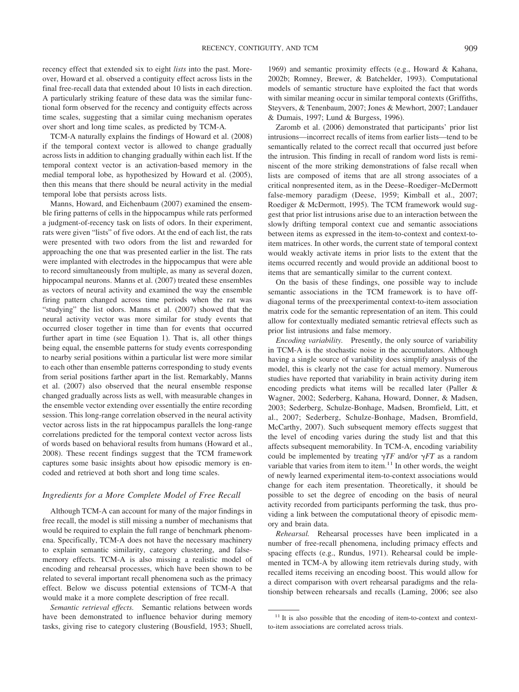recency effect that extended six to eight *lists* into the past. Moreover, Howard et al. observed a contiguity effect across lists in the final free-recall data that extended about 10 lists in each direction. A particularly striking feature of these data was the similar functional form observed for the recency and contiguity effects across time scales, suggesting that a similar cuing mechanism operates over short and long time scales, as predicted by TCM-A*.*

TCM-A naturally explains the findings of Howard et al. (2008) if the temporal context vector is allowed to change gradually across lists in addition to changing gradually within each list. If the temporal context vector is an activation-based memory in the medial temporal lobe, as hypothesized by Howard et al. (2005), then this means that there should be neural activity in the medial temporal lobe that persists across lists.

Manns, Howard, and Eichenbaum (2007) examined the ensemble firing patterns of cells in the hippocampus while rats performed a judgment-of-recency task on lists of odors. In their experiment, rats were given "lists" of five odors. At the end of each list, the rats were presented with two odors from the list and rewarded for approaching the one that was presented earlier in the list. The rats were implanted with electrodes in the hippocampus that were able to record simultaneously from multiple, as many as several dozen, hippocampal neurons. Manns et al. (2007) treated these ensembles as vectors of neural activity and examined the way the ensemble firing pattern changed across time periods when the rat was "studying" the list odors. Manns et al. (2007) showed that the neural activity vector was more similar for study events that occurred closer together in time than for events that occurred further apart in time (see Equation 1). That is, all other things being equal, the ensemble patterns for study events corresponding to nearby serial positions within a particular list were more similar to each other than ensemble patterns corresponding to study events from serial positions farther apart in the list. Remarkably, Manns et al. (2007) also observed that the neural ensemble response changed gradually across lists as well, with measurable changes in the ensemble vector extending over essentially the entire recording session. This long-range correlation observed in the neural activity vector across lists in the rat hippocampus parallels the long-range correlations predicted for the temporal context vector across lists of words based on behavioral results from humans (Howard et al., 2008). These recent findings suggest that the TCM framework captures some basic insights about how episodic memory is encoded and retrieved at both short and long time scales.

## *Ingredients for a More Complete Model of Free Recall*

Although TCM-A can account for many of the major findings in free recall, the model is still missing a number of mechanisms that would be required to explain the full range of benchmark phenomena. Specifically, TCM-A does not have the necessary machinery to explain semantic similarity, category clustering, and falsememory effects. TCM-A is also missing a realistic model of encoding and rehearsal processes, which have been shown to be related to several important recall phenomena such as the primacy effect. Below we discuss potential extensions of TCM-A that would make it a more complete description of free recall.

*Semantic retrieval effects.* Semantic relations between words have been demonstrated to influence behavior during memory tasks, giving rise to category clustering (Bousfield, 1953; Shuell,

1969) and semantic proximity effects (e.g., Howard & Kahana, 2002b; Romney, Brewer, & Batchelder, 1993). Computational models of semantic structure have exploited the fact that words with similar meaning occur in similar temporal contexts (Griffiths, Steyvers, & Tenenbaum, 2007; Jones & Mewhort, 2007; Landauer & Dumais, 1997; Lund & Burgess, 1996).

Zaromb et al. (2006) demonstrated that participants' prior list intrusions—incorrect recalls of items from earlier lists—tend to be semantically related to the correct recall that occurred just before the intrusion. This finding in recall of random word lists is reminiscent of the more striking demonstrations of false recall when lists are composed of items that are all strong associates of a critical nonpresented item, as in the Deese–Roediger–McDermott false-memory paradigm (Deese, 1959; Kimball et al., 2007; Roediger & McDermott, 1995). The TCM framework would suggest that prior list intrusions arise due to an interaction between the slowly drifting temporal context cue and semantic associations between items as expressed in the item-to-context and context-toitem matrices. In other words, the current state of temporal context would weakly activate items in prior lists to the extent that the items occurred recently and would provide an additional boost to items that are semantically similar to the current context.

On the basis of these findings, one possible way to include semantic associations in the TCM framework is to have offdiagonal terms of the preexperimental context-to-item association matrix code for the semantic representation of an item. This could allow for contextually mediated semantic retrieval effects such as prior list intrusions and false memory.

*Encoding variability.* Presently, the only source of variability in TCM-A is the stochastic noise in the accumulators. Although having a single source of variability does simplify analysis of the model, this is clearly not the case for actual memory. Numerous studies have reported that variability in brain activity during item encoding predicts what items will be recalled later (Paller & Wagner, 2002; Sederberg, Kahana, Howard, Donner, & Madsen, 2003; Sederberg, Schulze-Bonhage, Madsen, Bromfield, Litt, et al., 2007; Sederberg, Schulze-Bonhage, Madsen, Bromfield, McCarthy, 2007). Such subsequent memory effects suggest that the level of encoding varies during the study list and that this affects subsequent memorability. In TCM-A, encoding variability could be implemented by treating  $\gamma TF$  and/or  $\gamma FT$  as a random variable that varies from item to item.<sup>11</sup> In other words, the weight of newly learned experimental item-to-context associations would change for each item presentation. Theoretically, it should be possible to set the degree of encoding on the basis of neural activity recorded from participants performing the task, thus providing a link between the computational theory of episodic memory and brain data.

*Rehearsal.* Rehearsal processes have been implicated in a number of free-recall phenomena, including primacy effects and spacing effects (e.g., Rundus, 1971). Rehearsal could be implemented in TCM-A by allowing item retrievals during study, with recalled items receiving an encoding boost. This would allow for a direct comparison with overt rehearsal paradigms and the relationship between rehearsals and recalls (Laming, 2006; see also

<sup>&</sup>lt;sup>11</sup> It is also possible that the encoding of item-to-context and contextto-item associations are correlated across trials.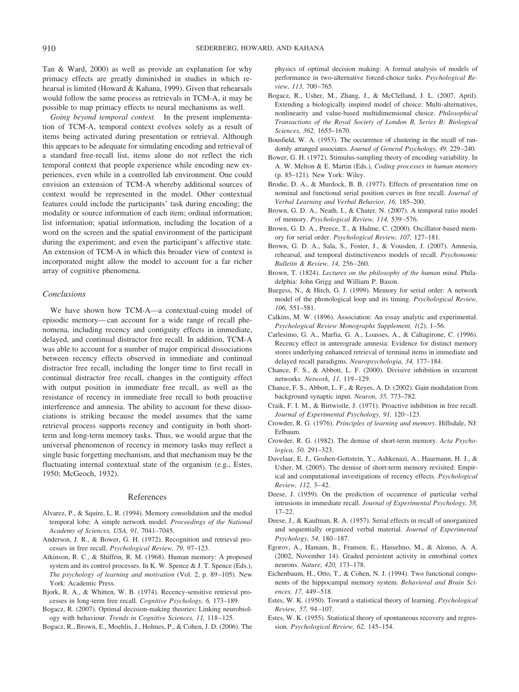Tan & Ward, 2000) as well as provide an explanation for why primacy effects are greatly diminished in studies in which rehearsal is limited (Howard & Kahana, 1999). Given that rehearsals would follow the same process as retrievals in TCM-A, it may be possible to map primacy effects to neural mechanisms as well.

*Going beyond temporal context.* In the present implementation of TCM-A, temporal context evolves solely as a result of items being activated during presentation or retrieval. Although this appears to be adequate for simulating encoding and retrieval of a standard free-recall list, items alone do not reflect the rich temporal context that people experience while encoding new experiences, even while in a controlled lab environment. One could envision an extension of TCM-A whereby additional sources of context would be represented in the model. Other contextual features could include the participants' task during encoding; the modality or source information of each item; ordinal information; list information; spatial information, including the location of a word on the screen and the spatial environment of the participant during the experiment; and even the participant's affective state. An extension of TCM-A in which this broader view of context is incorporated might allow the model to account for a far richer array of cognitive phenomena.

#### *Conclusions*

We have shown how TCM-A—a contextual-cuing model of episodic memory— can account for a wide range of recall phenomena, including recency and contiguity effects in immediate, delayed, and continual distractor free recall. In addition, TCM-A was able to account for a number of major empirical dissociations between recency effects observed in immediate and continual distractor free recall, including the longer time to first recall in continual distractor free recall, changes in the contiguity effect with output position in immediate free recall, as well as the resistance of recency in immediate free recall to both proactive interference and amnesia. The ability to account for these dissociations is striking because the model assumes that the same retrieval process supports recency and contiguity in both shortterm and long-term memory tasks. Thus, we would argue that the universal phenomenon of recency in memory tasks may reflect a single basic forgetting mechanism, and that mechanism may be the fluctuating internal contextual state of the organism (e.g., Estes, 1950; McGeoch, 1932).

#### References

- Alvarez, P., & Squire, L. R. (1994). Memory consolidation and the medial temporal lobe: A simple network model. *Proceedings of the National Academy of Sciences, USA, 91,* 7041–7045.
- Anderson, J. R., & Bower, G. H. (1972). Recognition and retrieval processes in free recall. *Psychological Review, 79,* 97–123.
- Atkinson, R. C., & Shiffrin, R. M. (1968). Human memory: A proposed system and its control processes. In K. W. Spence & J. T. Spence (Eds.), *The psychology of learning and motivation* (Vol. 2, p. 89 –105). New York: Academic Press.
- Bjork, R. A., & Whitten, W. B. (1974). Recency-sensitive retrieval processes in long-term free recall. *Cognitive Psychology, 6,* 173–189.
- Bogacz, R. (2007). Optimal decision-making theories: Linking neurobiology with behaviour. *Trends in Cognitive Sciences, 11,* 118 –125.
- Bogacz, R., Brown, E., Moehlis, J., Holmes, P., & Cohen, J. D. (2006). The

physics of optimal decision making: A formal analysis of models of performance in two-alternative forced-choice tasks. *Psychological Review, 113,* 700 –765.

- Bogacz, R., Usher, M., Zhang, J., & McClelland, J. L. (2007, April). Extending a biologically inspired model of choice: Multi-alternatives, nonlinearity and value-based multidimensional choice. *Philosophical Transactions of the Royal Society of London B, Series B: Biological Sciences, 362,* 1655–1670.
- Bousfield, W. A. (1953). The occurrence of clustering in the recall of randomly arranged associates. *Journal of General Psychology, 49,* 229 –240.
- Bower, G. H. (1972). Stimulus-sampling theory of encoding variability. In A. W. Melton & E. Martin (Eds.), *Coding processes in human memory* (p. 85–121). New York: Wiley.
- Brodie, D. A., & Murdock, B. B. (1977). Effects of presentation time on nominal and functional serial position curves in free recall. *Journal of Verbal Learning and Verbal Behavior, 16,* 185–200.
- Brown, G. D. A., Neath, I., & Chater, N. (2007). A temporal ratio model of memory. *Psychological Review, 114,* 539 –576.
- Brown, G. D. A., Preece, T., & Hulme, C. (2000). Oscillator-based memory for serial order. *Psychological Review, 107,* 127–181.
- Brown, G. D. A., Sala, S., Foster, J., & Vousden, J. (2007). Amnesia, rehearsal, and temporal distinctiveness models of recall. *Psychonomic Bulletin & Review, 14,* 256 –260.
- Brown, T. (1824). *Lectures on the philosophy of the human mind.* Philadelphia: John Grigg and William P. Bason.
- Burgess, N., & Hitch, G. J. (1999). Memory for serial order: A network model of the phonological loop and its timing. *Psychological Review, 106,* 551–581.
- Calkins, M. W. (1896). Association: An essay analytic and experimental. *Psychological Review Monographs Supplement, 1*(2), 1–56.
- Carlesimo, G. A., Marfia, G. A., Loasses, A., & Caltagirone, C. (1996). Recency effect in anterograde amnesia: Evidence for distinct memory stores underlying enhanced retrieval of terminal items in immediate and delayed recall paradigms. *Neuropsychologia, 34,* 177–184.
- Chance, F. S., & Abbott, L. F. (2000). Divisive inhibition in recurrent networks. *Network, 11,* 119 –129.
- Chance, F. S., Abbott, L. F., & Reyes, A. D. (2002). Gain modulation from background synaptic input. *Neuron, 35,* 773–782.
- Craik, F. I. M., & Birtwistle, J. (1971). Proactive inhibition in free recall. Journal of Experimental Psychology, 91, 120-123.
- Crowder, R. G. (1976). *Principles of learning and memory.* Hillsdale, NJ: Erlbaum.
- Crowder, R. G. (1982). The demise of short-term memory. *Acta Psychologica, 50,* 291–323.
- Davelaar, E. J., Goshen-Gottstein, Y., Ashkenazi, A., Haarmann, H. J., & Usher, M. (2005). The demise of short-term memory revisited: Empirical and computational investigations of recency effects. *Psychological Review, 112,* 3– 42.
- Deese, J. (1959). On the prediction of occurrence of particular verbal intrusions in immediate recall. *Journal of Experimental Psychology, 58,* 17–22.
- Deese, J., & Kaufman, R. A. (1957). Serial effects in recall of unorganized and sequentially organized verbal material. *Journal of Experimental Psychology, 54,* 180 –187.
- Egorov, A., Hamam, B., Fransen, E., Hasselmo, M., & Alonso, A. A. (2002, November 14). Graded persistent activity in entorhinal cortex neurons. *Nature, 420,* 173–178.
- Eichenbaum, H., Otto, T., & Cohen, N. J. (1994). Two functional components of the hippocampal memory system. *Behavioral and Brain Sciences, 17,* 449 –518.
- Estes, W. K. (1950). Toward a statistical theory of learning. *Psychological Review, 57,* 94 –107.
- Estes, W. K. (1955). Statistical theory of spontaneous recovery and regression. *Psychological Review, 62,* 145–154.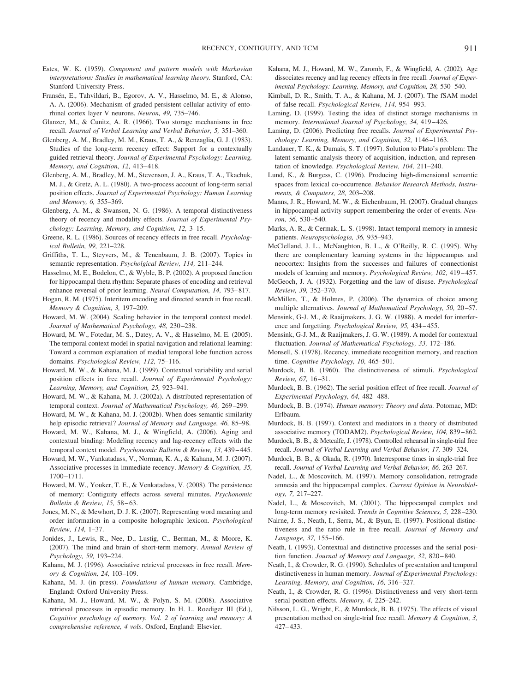- Estes, W. K. (1959). *Component and pattern models with Markovian interpretations: Studies in mathematical learning theory.* Stanford, CA: Stanford University Press.
- Fransén, E., Tahvildari, B., Egorov, A. V., Hasselmo, M. E., & Alonso, A. A. (2006). Mechanism of graded persistent cellular activity of entorhinal cortex layer V neurons. *Neuron, 49,* 735–746.
- Glanzer, M., & Cunitz, A. R. (1966). Two storage mechanisms in free recall. *Journal of Verbal Learning and Verbal Behavior, 5,* 351–360.
- Glenberg, A. M., Bradley, M. M., Kraus, T. A., & Renzaglia, G. J. (1983). Studies of the long-term recency effect: Support for a contextually guided retrieval theory. *Journal of Experimental Psychology: Learning, Memory, and Cognition, 12,* 413– 418.
- Glenberg, A. M., Bradley, M. M., Stevenson, J. A., Kraus, T. A., Tkachuk, M. J., & Gretz, A. L. (1980). A two-process account of long-term serial position effects. *Journal of Experimental Psychology: Human Learning and Memory, 6,* 355–369.
- Glenberg, A. M., & Swanson, N. G. (1986). A temporal distinctiveness theory of recency and modality effects. *Journal of Experimental Psychology: Learning, Memory, and Cognition, 12,* 3–15.
- Greene, R. L. (1986). Sources of recency effects in free recall. *Psychological Bulletin, 99,* 221–228.
- Griffiths, T. L., Steyvers, M., & Tenenbaum, J. B. (2007). Topics in semantic representation. *Psycholgical Review, 114,* 211–244.
- Hasselmo, M. E., Bodelon, C., & Wyble, B. P. (2002). A proposed function for hippocampal theta rhythm: Separate phases of encoding and retrieval enhance reversal of prior learning. *Neural Computation, 14,* 793– 817.
- Hogan, R. M. (1975). Interitem encoding and directed search in free recall. *Memory & Cognition, 3,* 197–209.
- Howard, M. W. (2004). Scaling behavior in the temporal context model. *Journal of Mathematical Psychology, 48,* 230 –238.
- Howard, M. W., Fotedar, M. S., Datey, A. V., & Hasselmo, M. E. (2005). The temporal context model in spatial navigation and relational learning: Toward a common explanation of medial temporal lobe function across domains. *Psychological Review, 112,* 75–116.
- Howard, M. W., & Kahana, M. J. (1999). Contextual variability and serial position effects in free recall. *Journal of Experimental Psychology: Learning, Memory, and Cognition, 25,* 923–941.
- Howard, M. W., & Kahana, M. J. (2002a). A distributed representation of temporal context. *Journal of Mathematical Psychology, 46,* 269 –299.
- Howard, M. W., & Kahana, M. J. (2002b). When does semantic similarity help episodic retrieval? *Journal of Memory and Language, 46,* 85–98.
- Howard, M. W., Kahana, M. J., & Wingfield, A. (2006). Aging and contextual binding: Modeling recency and lag-recency effects with the temporal context model. *Psychonomic Bulletin & Review, 13,* 439 – 445.
- Howard, M. W., Vankatadass, V., Norman, K. A., & Kahana, M. J. (2007). Associative processes in immediate recency. *Memory & Cognition, 35,* 1700 –1711.
- Howard, M. W., Youker, T. E., & Venkatadass, V. (2008). The persistence of memory: Contiguity effects across several minutes. *Psychonomic Bulletin & Review, 15,* 58 – 63.
- Jones, M. N., & Mewhort, D. J. K. (2007). Representing word meaning and order information in a composite holographic lexicon. *Psychological Review, 114,* 1–37.
- Jonides, J., Lewis, R., Nee, D., Lustig, C., Berman, M., & Moore, K. (2007). The mind and brain of short-term memory. *Annual Review of Psychology, 59,* 193–224.
- Kahana, M. J. (1996). Associative retrieval processes in free recall. *Memory & Cognition, 24,* 103–109.
- Kahana, M. J. (in press). *Foundations of human memory.* Cambridge, England: Oxford University Press.
- Kahana, M. J., Howard, M. W., & Polyn, S. M. (2008). Associative retrieval processes in episodic memory. In H. L. Roediger III (Ed.), *Cognitive psychology of memory. Vol. 2 of learning and memory: A comprehensive reference, 4 vols*. Oxford, England: Elsevier.
- Kahana, M. J., Howard, M. W., Zaromb, F., & Wingfield, A. (2002). Age dissociates recency and lag recency effects in free recall. *Journal of Experimental Psychology: Learning, Memory, and Cognition, 28,* 530 –540.
- Kimball, D. R., Smith, T. A., & Kahana, M. J. (2007). The fSAM model of false recall. *Psychological Review, 114,* 954 –993.
- Laming, D. (1999). Testing the idea of distinct storage mechanisms in memory. *International Journal of Psychology, 34,* 419 – 426.
- Laming, D. (2006). Predicting free recalls. *Journal of Experimental Psychology: Learning, Memory, and Cognition, 32,* 1146 –1163.
- Landauer, T. K., & Dumais, S. T. (1997). Solution to Plato's problem: The latent semantic analysis theory of acquisition, induction, and representation of knowledge. *Psychological Review, 104,* 211–240.
- Lund, K., & Burgess, C. (1996). Producing high-dimensional semantic spaces from lexical co-occurrence. *Behavior Research Methods, Instruments, & Computers, 28,* 203–208.
- Manns, J. R., Howard, M. W., & Eichenbaum, H. (2007). Gradual changes in hippocampal activity support remembering the order of events. *Neuron, 56,* 530 –540.
- Marks, A. R., & Cermak, L. S. (1998). Intact temporal memory in amnesic patients. *Neuropsychologia, 36,* 935–943.
- McClelland, J. L., McNaughton, B. L., & O'Reilly, R. C. (1995). Why there are complementary learning systems in the hippocampus and neocortex: Insights from the successes and failures of connectionist models of learning and memory. *Psychological Review, 102,* 419 – 457.
- McGeoch, J. A. (1932). Forgetting and the law of disuse. *Psychological Review, 39,* 352–370.
- McMillen, T., & Holmes, P. (2006). The dynamics of choice among multiple alternatives. *Journal of Mathematical Psychology, 50,* 20 –57.
- Mensink, G-J. M., & Raaijmakers, J. G. W. (1988). A model for interference and forgetting. *Psychological Review, 95,* 434 – 455.
- Mensink, G-J. M., & Raaijmakers, J. G. W. (1989). A model for contextual fluctuation. *Journal of Mathematical Psychology, 33,* 172–186.
- Monsell, S. (1978). Recency, immediate recognition memory, and reaction time. *Cognitive Psychology, 10,* 465–501.
- Murdock, B. B. (1960). The distinctiveness of stimuli. *Psychological Review, 67,* 16 –31.
- Murdock, B. B. (1962). The serial position effect of free recall. *Journal of Experimental Psychology, 64,* 482– 488.
- Murdock, B. B. (1974). *Human memory: Theory and data.* Potomac, MD: Erlbaum.
- Murdock, B. B. (1997). Context and mediators in a theory of distributed associative memory (TODAM2). *Psychological Review, 104,* 839 – 862.
- Murdock, B. B., & Metcalfe, J. (1978). Controlled rehearsal in single-trial free recall. *Journal of Verbal Learning and Verbal Behavior, 17,* 309 –324.
- Murdock, B. B., & Okada, R. (1970). Interresponse times in single-trial free recall. *Journal of Verbal Learning and Verbal Behavior, 86,* 263–267.
- Nadel, L., & Moscovitch, M. (1997). Memory consolidation, retrograde amnesia and the hippocampal complex. *Current Opinion in Neurobiology, 7,* 217–227.
- Nadel, L., & Moscovitch, M. (2001). The hippocampal complex and long-term memory revisited. *Trends in Cognitive Sciences, 5,* 228 –230.
- Nairne, J. S., Neath, I., Serra, M., & Byun, E. (1997). Positional distinctiveness and the ratio rule in free recall. *Journal of Memory and Language, 37,* 155–166.
- Neath, I. (1993). Contextual and distinctive processes and the serial position function. *Journal of Memory and Language, 32,* 820 – 840.
- Neath, I., & Crowder, R. G. (1990). Schedules of presentation and temporal distinctiveness in human memory. *Journal of Experimental Psychology: Learning, Memory, and Cognition, 16,* 316 –327.
- Neath, I., & Crowder, R. G. (1996). Distinctiveness and very short-term serial position effects. *Memory, 4,* 225–242.
- Nilsson, L. G., Wright, E., & Murdock, B. B. (1975). The effects of visual presentation method on single-trial free recall. *Memory & Cognition, 3,* 427– 433.